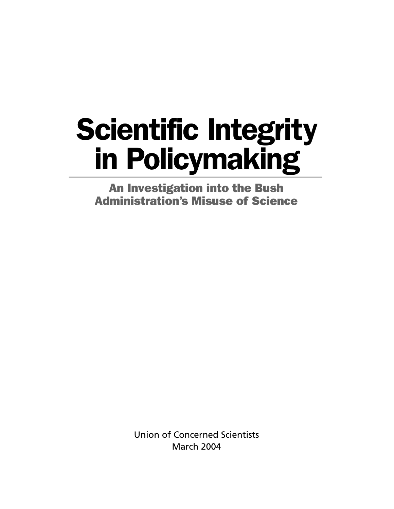# Scientific Integrity in Policymaking

An Investigation into the Bush Administration's Misuse of Science

> Union of Concerned Scientists March 2004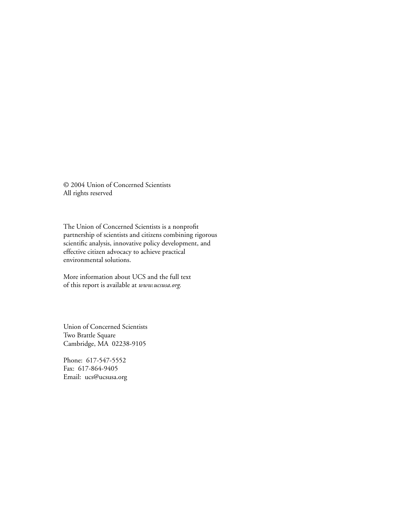© 2004 Union of Concerned Scientists All rights reserved

The Union of Concerned Scientists is a nonprofit partnership of scientists and citizens combining rigorous scientific analysis, innovative policy development, and effective citizen advocacy to achieve practical environmental solutions.

More information about UCS and the full text of this report is available at *www.ucsusa.org.* 

Union of Concerned Scientists Two Brattle Square Cambridge, MA 02238-9105

Phone: 617-547-5552 Fax: 617-864-9405 Email: ucs@ucsusa.org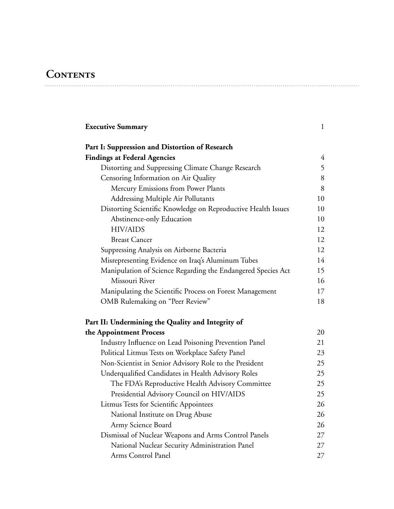# CONTENTS

| <b>Executive Summary</b>                                      | $\mathbf 1$ |
|---------------------------------------------------------------|-------------|
| Part I: Suppression and Distortion of Research                |             |
| <b>Findings at Federal Agencies</b>                           | 4           |
| Distorting and Suppressing Climate Change Research            | 5           |
| Censoring Information on Air Quality                          | 8           |
| Mercury Emissions from Power Plants                           | 8           |
| Addressing Multiple Air Pollutants                            | 10          |
| Distorting Scientific Knowledge on Reproductive Health Issues | 10          |
| Abstinence-only Education                                     | 10          |
| <b>HIV/AIDS</b>                                               | 12          |
| <b>Breast Cancer</b>                                          | 12          |
| Suppressing Analysis on Airborne Bacteria                     | 12          |
| Misrepresenting Evidence on Iraq's Aluminum Tubes             | 14          |
| Manipulation of Science Regarding the Endangered Species Act  | 15          |
| Missouri River                                                | 16          |
| Manipulating the Scientific Process on Forest Management      | 17          |
| OMB Rulemaking on "Peer Review"                               | 18          |
| Part II: Undermining the Quality and Integrity of             |             |
| the Appointment Process                                       | 20          |
| Industry Influence on Lead Poisoning Prevention Panel         | 21          |
| Political Litmus Tests on Workplace Safety Panel              | 23          |
| Non-Scientist in Senior Advisory Role to the President        | 25          |
| Underqualified Candidates in Health Advisory Roles            | 25          |
| The FDA's Reproductive Health Advisory Committee              | 25          |
| Presidential Advisory Council on HIV/AIDS                     | 25          |
| Litmus Tests for Scientific Appointees                        | 26          |
| National Institute on Drug Abuse                              | 26          |
| Army Science Board                                            | 26          |
| Dismissal of Nuclear Weapons and Arms Control Panels          | 27          |
| National Nuclear Security Administration Panel                | 27          |
| Arms Control Panel                                            | 27          |
|                                                               |             |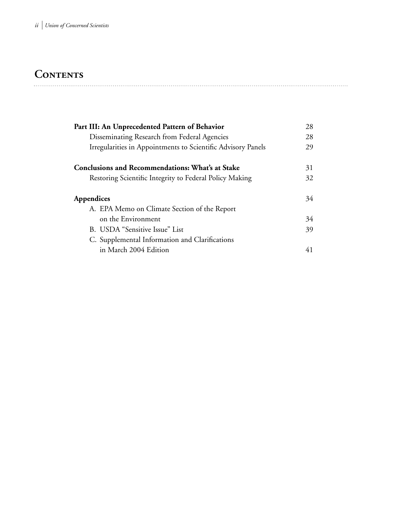# CONTENTS

| Part III: An Unprecedented Pattern of Behavior               | 28 |
|--------------------------------------------------------------|----|
| Disseminating Research from Federal Agencies                 | 28 |
| Irregularities in Appointments to Scientific Advisory Panels | 29 |
| <b>Conclusions and Recommendations: What's at Stake</b>      | 31 |
| Restoring Scientific Integrity to Federal Policy Making      | 32 |
| Appendices                                                   | 34 |
| A. EPA Memo on Climate Section of the Report                 |    |
| on the Environment                                           | 34 |
| B. USDA "Sensitive Issue" List                               | 39 |
| C. Supplemental Information and Clarifications               |    |
| in March 2004 Edition                                        | 41 |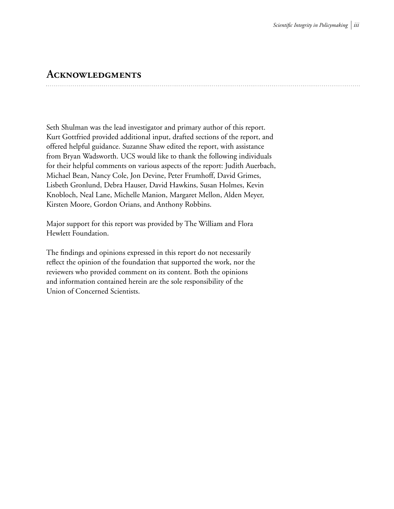# **Acknowledgments**

Seth Shulman was the lead investigator and primary author of this report. Kurt Gottfried provided additional input, drafted sections of the report, and offered helpful guidance. Suzanne Shaw edited the report, with assistance from Bryan Wadsworth. UCS would like to thank the following individuals for their helpful comments on various aspects of the report: Judith Auerbach, Michael Bean, Nancy Cole, Jon Devine, Peter Frumhoff, David Grimes, Lisbeth Gronlund, Debra Hauser, David Hawkins, Susan Holmes, Kevin Knobloch, Neal Lane, Michelle Manion, Margaret Mellon, Alden Meyer, Kirsten Moore, Gordon Orians, and Anthony Robbins.

Major support for this report was provided by The William and Flora Hewlett Foundation.

The findings and opinions expressed in this report do not necessarily reflect the opinion of the foundation that supported the work, nor the reviewers who provided comment on its content. Both the opinions and information contained herein are the sole responsibility of the Union of Concerned Scientists.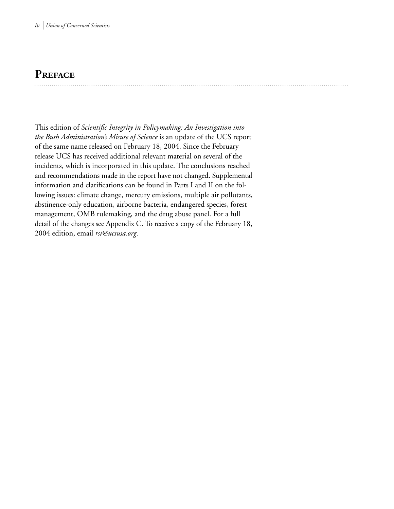# **Preface**

This edition of *Scientific Integrity in Policymaking: An Investigation into the Bush Administration's Misuse of Science* is an update of the UCS report of the same name released on February 18, 2004. Since the February release UCS has received additional relevant material on several of the incidents, which is incorporated in this update. The conclusions reached and recommendations made in the report have not changed. Supplemental information and clarifications can be found in Parts I and II on the following issues: climate change, mercury emissions, multiple air pollutants, abstinence-only education, airborne bacteria, endangered species, forest management, OMB rulemaking, and the drug abuse panel. For a full detail of the changes see Appendix C. To receive a copy of the February 18, 2004 edition, email *rsi@ucsusa.org*.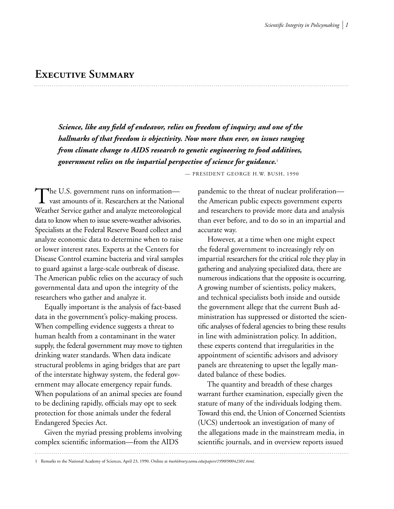# **Executive Summary**

*Science, like any field of endeavor, relies on freedom of inquiry; and one of the hallmarks of that freedom is objectivity. Now more than ever, on issues ranging from climate change to AIDS research to genetic engineering to food additives, government relies on the impartial perspective of science for guidance.*<sup>1</sup>

The U.S. government runs on information—<br>vast amounts of it. Researchers at the National Weather Service gather and analyze meteorological data to know when to issue severe-weather advisories. Specialists at the Federal Reserve Board collect and analyze economic data to determine when to raise or lower interest rates. Experts at the Centers for Disease Control examine bacteria and viral samples to guard against a large-scale outbreak of disease. The American public relies on the accuracy of such governmental data and upon the integrity of the researchers who gather and analyze it.

 Equally important is the analysis of fact-based data in the government's policy-making process. When compelling evidence suggests a threat to human health from a contaminant in the water supply, the federal government may move to tighten drinking water standards. When data indicate structural problems in aging bridges that are part of the interstate highway system, the federal government may allocate emergency repair funds. When populations of an animal species are found to be declining rapidly, officials may opt to seek protection for those animals under the federal Endangered Species Act.

 Given the myriad pressing problems involving complex scientific information—from the AIDS

— PRESIDENT GEORGE H.W. BUSH, 1990

pandemic to the threat of nuclear proliferation the American public expects government experts and researchers to provide more data and analysis than ever before, and to do so in an impartial and accurate way.

 However, at a time when one might expect the federal government to increasingly rely on impartial researchers for the critical role they play in gathering and analyzing specialized data, there are numerous indications that the opposite is occurring. A growing number of scientists, policy makers, and technical specialists both inside and outside the government allege that the current Bush administration has suppressed or distorted the scientific analyses of federal agencies to bring these results in line with administration policy. In addition, these experts contend that irregularities in the appointment of scientific advisors and advisory panels are threatening to upset the legally mandated balance of these bodies.

 The quantity and breadth of these charges warrant further examination, especially given the stature of many of the individuals lodging them. Toward this end, the Union of Concerned Scientists (UCS) undertook an investigation of many of the allegations made in the mainstream media, in scientific journals, and in overview reports issued

1 Remarks to the National Academy of Sciences, April 23, 1990. Online at *bushlibrary.tamu.edu/papers/1990/90042301.html*.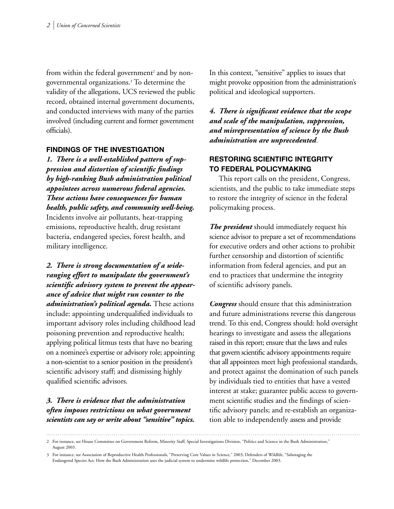from within the federal government $^{\rm 2}$  and by nongovernmental organizations.<sup>3</sup> To determine the validity of the allegations, UCS reviewed the public record, obtained internal government documents, and conducted interviews with many of the parties involved (including current and former government officials).

#### **FINDINGS OF THE INVESTIGATION**

*1. There is a well-established pattern of suppression and distortion of scientifi c fi ndings by high-ranking Bush administration political appointees across numerous federal agencies. These actions have consequences for human health, public safety, and community well-being.*

Incidents involve air pollutants, heat-trapping emissions, reproductive health, drug resistant bacteria, endangered species, forest health, and military intelligence.

*2. There is strong documentation of a wideranging effort to manipulate the government's*  scientific advisory system to prevent the appear*ance of advice that might run counter to the administration's political agenda.* These actions include: appointing underqualified individuals to important advisory roles including childhood lead poisoning prevention and reproductive health; applying political litmus tests that have no bearing on a nominee's expertise or advisory role; appointing a non-scientist to a senior position in the president's scientific advisory staff; and dismissing highly qualified scientific advisors.

*3. There is evidence that the administration often imposes restrictions on what government scientists can say or write about "sensitive" topics.* In this context, "sensitive" applies to issues that might provoke opposition from the administration's political and ideological supporters.

*4. There is signifi cant evidence that the scope and scale of the manipulation, suppression, and misrepresentation of science by the Bush administration are unprecedented*.

## **RESTORING SCIENTIFIC INTEGRITY TO FEDERAL POLICYMAKING**

 This report calls on the president, Congress, scientists, and the public to take immediate steps to restore the integrity of science in the federal policymaking process.

*The president* should immediately request his science advisor to prepare a set of recommendations for executive orders and other actions to prohibit further censorship and distortion of scientific information from federal agencies, and put an end to practices that undermine the integrity of scientific advisory panels.

*Congress* should ensure that this administration and future administrations reverse this dangerous trend. To this end, Congress should: hold oversight hearings to investigate and assess the allegations raised in this report; ensure that the laws and rules that govern scientific advisory appointments require that all appointees meet high professional standards, and protect against the domination of such panels by individuals tied to entities that have a vested interest at stake; guarantee public access to government scientific studies and the findings of scientific advisory panels; and re-establish an organization able to independently assess and provide

<sup>2</sup> For instance, see House Committee on Government Reform, Minority Staff, Special Investigations Division, "Politics and Science in the Bush Administration," August 2003.

<sup>3</sup> For instance, see Association of Reproductive Health Professionals, "Preserving Core Values in Science," 2003; Defenders of Wildlife, "Sabotaging the Endangered Species Act: How the Bush Administration uses the judicial system to undermine wildlife protection," December 2003.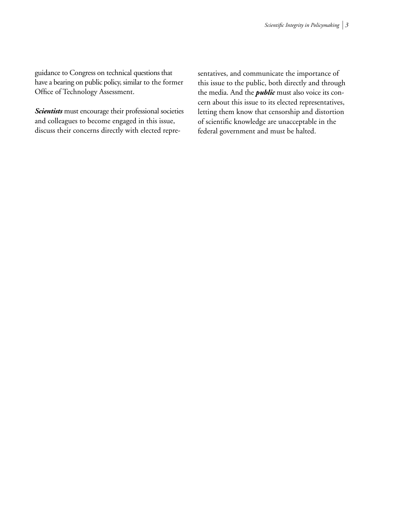guidance to Congress on technical questions that have a bearing on public policy, similar to the former Office of Technology Assessment.

*Scientists* must encourage their professional societies and colleagues to become engaged in this issue, discuss their concerns directly with elected repre-

sentatives, and communicate the importance of this issue to the public, both directly and through the media. And the *publid* must also voice its concern about this issue to its elected representatives, letting them know that censorship and distortion of scientific knowledge are unacceptable in the federal government and must be halted.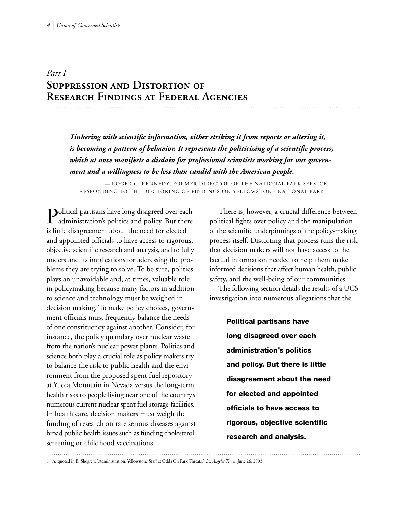# **Suppression and Distortion of Research Findings at Federal Agencies** *Part I*

*Tinkering with scientific information, either striking it from reports or altering it,* is becoming a pattern of behavior. It represents the politicizing of a scientific process, *which at once manifests a disdain for professional scientists working for our government and a willingness to be less than candid with the American people.*

— ROGER G. KENNEDY, FORMER DIRECTOR OF THE NATIONAL PARK SERVICE, RESPONDING TO THE DOCTORING OF FINDINGS ON YELLOWSTONE NATIONAL PARK.<sup>1</sup>

Political partisans have long disagreed over each administration's politics and policy. But there is little disagreement about the need for elected and appointed officials to have access to rigorous, objective scientific research and analysis, and to fully understand its implications for addressing the problems they are trying to solve. To be sure, politics plays an unavoidable and, at times, valuable role in policymaking because many factors in addition to science and technology must be weighed in decision making. To make policy choices, government officials must frequently balance the needs of one constituency against another. Consider, for instance, the policy quandary over nuclear waste from the nation's nuclear power plants. Politics and science both play a crucial role as policy makers try to balance the risk to public health and the environment from the proposed spent fuel repository at Yucca Mountain in Nevada versus the long-term health risks to people living near one of the country's numerous current nuclear spent fuel storage facilities. In health care, decision makers must weigh the funding of research on rare serious diseases against broad public health issues such as funding cholesterol screening or childhood vaccinations.

 There is, however, a crucial difference between political fights over policy and the manipulation of the scientific underpinnings of the policy-making process itself. Distorting that process runs the risk that decision makers will not have access to the factual information needed to help them make informed decisions that affect human health, public safety, and the well-being of our communities.

 The following section details the results of a UCS investigation into numerous allegations that the

> Political partisans have long disagreed over each administration's politics and policy. But there is little disagreement about the need for elected and appointed officials to have access to rigorous, objective scientific research and analysis.

<sup>1</sup> As quoted in E. Shogren, "Administration, Yellowstone Staff at Odds On Park Threats," *Los Angeles Times*, June 26, 2003.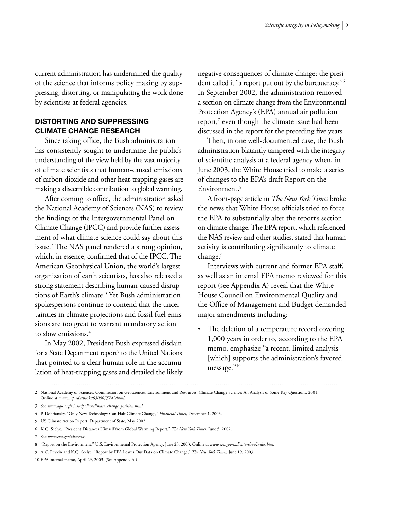current administration has undermined the quality of the science that informs policy making by suppressing, distorting, or manipulating the work done by scientists at federal agencies.

## **DISTORTING AND SUPPRESSING CLIMATE CHANGE RESEARCH**

Since taking office, the Bush administration has consistently sought to undermine the public's understanding of the view held by the vast majority of climate scientists that human-caused emissions of carbon dioxide and other heat-trapping gases are making a discernible contribution to global warming.

After coming to office, the administration asked the National Academy of Sciences (NAS) to review the findings of the Intergovernmental Panel on Climate Change (IPCC) and provide further assessment of what climate science could say about this issue.2 The NAS panel rendered a strong opinion, which, in essence, confirmed that of the IPCC. The American Geophysical Union, the world's largest organization of earth scientists, has also released a strong statement describing human-caused disruptions of Earth's climate.3 Yet Bush administration spokespersons continue to contend that the uncertainties in climate projections and fossil fuel emissions are too great to warrant mandatory action to slow emissions.4

 In May 2002, President Bush expressed disdain for a State Department report<sup>5</sup> to the United Nations that pointed to a clear human role in the accumulation of heat-trapping gases and detailed the likely negative consequences of climate change; the president called it "a report put out by the bureaucracy."6 In September 2002, the administration removed a section on climate change from the Environmental Protection Agency's (EPA) annual air pollution report, $\frac{7}{7}$  even though the climate issue had been discussed in the report for the preceding five years.

 Then, in one well-documented case, the Bush administration blatantly tampered with the integrity of scientific analysis at a federal agency when, in June 2003, the White House tried to make a series of changes to the EPA's draft Report on the Environment.<sup>8</sup>

 A front-page article in *The New York Times* broke the news that White House officials tried to force the EPA to substantially alter the report's section on climate change. The EPA report, which referenced the NAS review and other studies, stated that human activity is contributing significantly to climate change.9

Interviews with current and former EPA staff, as well as an internal EPA memo reviewed for this report (see Appendix A) reveal that the White House Council on Environmental Quality and the Office of Management and Budget demanded major amendments including:

The deletion of a temperature record covering 1,000 years in order to, according to the EPA memo, emphasize "a recent, limited analysis [which] supports the administration's favored message."10

7 See *www.epa.gov/airtrends*.

<sup>2</sup> National Academy of Sciences, Commission on Geosciences, Environment and Resources, Climate Change Science: An Analysis of Some Key Questions, 2001. Online at *www.nap.edu/books/0309075742/html.*

<sup>3</sup> See *www.agu.org/sci\_soc/policy/climate\_change\_position.html*.

<sup>4</sup> P. Dobriansky, "Only New Technology Can Halt Climate Change," *Financial Times*, December 1, 2003.

<sup>5</sup> US Climate Action Report, Department of State, May 2002.

<sup>6</sup> K.Q. Seelye, "President Distances Himself from Global Warming Report," *The New York Times*, June 5, 2002.

<sup>8 &</sup>quot;Report on the Environment," U.S. Environmental Protection Agency, June 23, 2003. Online at *www.epa.gov/indicators/roe/index.htm*.

<sup>9</sup> A.C. Revkin and K.Q. Seelye, "Report by EPA Leaves Out Data on Climate Change," *The New York Times,* June 19, 2003.

<sup>10</sup> EPA internal memo, April 29, 2003. (See Appendix A.)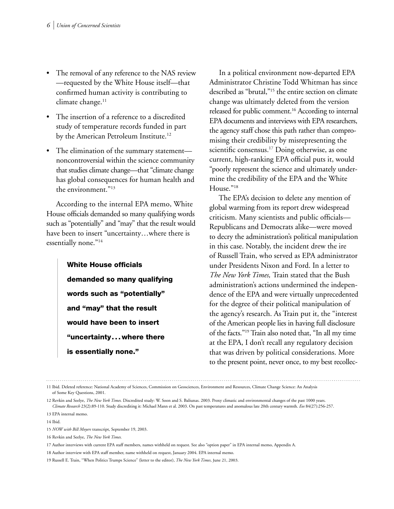- The removal of any reference to the NAS review —requested by the White House itself—that confirmed human activity is contributing to climate change.<sup>11</sup>
- The insertion of a reference to a discredited study of temperature records funded in part by the American Petroleum Institute.<sup>12</sup>
- The elimination of the summary statement noncontroversial within the science community that studies climate change—that "climate change has global consequences for human health and the environment."<sup>13</sup>

 According to the internal EPA memo, White House officials demanded so many qualifying words such as "potentially" and "may" that the result would have been to insert "uncertainty…where there is essentially none."<sup>14</sup>

> **White House officials** demanded so many qualifying words such as "potentially" and "may" that the result would have been to insert "uncertainty...where there is essentially none."

 In a political environment now-departed EPA Administrator Christine Todd Whitman has since described as "brutal,"15 the entire section on climate change was ultimately deleted from the version released for public comment.16 According to internal EPA documents and interviews with EPA researchers, the agency staff chose this path rather than compromising their credibility by misrepresenting the scientific consensus.<sup>17</sup> Doing otherwise, as one current, high-ranking EPA official puts it, would "poorly represent the science and ultimately undermine the credibility of the EPA and the White House."18

 The EPA's decision to delete any mention of global warming from its report drew widespread criticism. Many scientists and public officials— Republicans and Democrats alike—were moved to decry the administration's political manipulation in this case. Notably, the incident drew the ire of Russell Train, who served as EPA administrator under Presidents Nixon and Ford. In a letter to *The New York Times,* Train stated that the Bush administration's actions undermined the independence of the EPA and were virtually unprecedented for the degree of their political manipulation of the agency's research. As Train put it, the "interest of the American people lies in having full disclosure of the facts."19 Train also noted that, "In all my time at the EPA, I don't recall any regulatory decision that was driven by political considerations. More to the present point, never once, to my best recollec-

<sup>11</sup> Ibid. Deleted reference: National Academy of Sciences, Commission on Geosciences, Environment and Resources, Climate Change Science: An Analysis of Some Key Questions, 2001.

<sup>12</sup> Revkin and Seelye, *The New York Times.* Discredited study: W. Soon and S. Baliunas. 2003. Proxy climatic and environmental changes of the past 1000 years. *Climate Research* 23(2):89-110. Study discrediting it: Michael Mann et al. 2003. On past temperatures and anomalous late 20th century warmth. *Eos* 84(27):256-257.

<sup>13</sup> EPA internal memo.

<sup>14</sup> Ibid.

<sup>15</sup> *NOW with Bill Moyers* transcript, September 19, 2003.

<sup>16</sup> Revkin and Seelye, *The New York Times.*

<sup>17</sup> Author interviews with current EPA staff members, names withheld on request. See also "option paper" in EPA internal memo, Appendix A.

<sup>18</sup> Author interview with EPA staff member, name withheld on request, January 2004. EPA internal memo.

<sup>19</sup> Russell E. Train, "When Politics Trumps Science" (letter to the editor), *The New York Times*, June 21, 2003.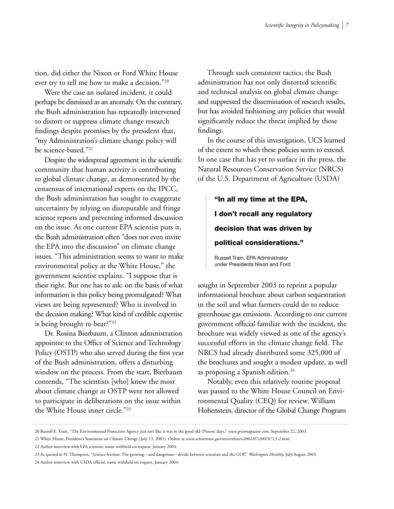tion, did either the Nixon or Ford White House ever try to tell me how to make a decision."20

 Were the case an isolated incident, it could perhaps be dismissed as an anomaly. On the contrary, the Bush administration has repeatedly intervened to distort or suppress climate change research findings despite promises by the president that, "my Administration's climate change policy will be science-based."21

Despite the widespread agreement in the scientific community that human activity is contributing to global climate change, as demonstrated by the consensus of international experts on the IPCC, the Bush administration has sought to exaggerate uncertainty by relying on disreputable and fringe science reports and preventing informed discussion on the issue. As one current EPA scientist puts it, the Bush administration often "does not even invite the EPA into the discussion" on climate change issues. "This administration seems to want to make environmental policy at the White House," the government scientist explains. "I suppose that is their right. But one has to ask: on the basis of what information is this policy being promulgated? What views are being represented? Who is involved in the decision making? What kind of credible expertise is being brought to bear?"22

 Dr. Rosina Bierbaum, a Clinton administration appointee to the Office of Science and Technology Policy (OSTP) who also served during the first year of the Bush administration, offers a disturbing window on the process. From the start, Bierbaum contends, "The scientists [who] knew the most about climate change at OSTP were not allowed to participate in deliberations on the issue within the White House inner circle."23

 Through such consistent tactics, the Bush administration has not only distorted scientific and technical analysis on global climate change and suppressed the dissemination of research results, but has avoided fashioning any policies that would significantly reduce the threat implied by those fi ndings.

 In the course of this investigation, UCS learned of the extent to which these policies seem to extend. In one case that has yet to surface in the press, the Natural Resources Conservation Service (NRCS) of the U.S. Department of Agriculture (USDA)

> "In all my time at the EPA, I don't recall any regulatory decision that was driven by political considerations."

Russell Train, EPA Administrator under Presidents Nixon and Ford

sought in September 2003 to reprint a popular informational brochure about carbon sequestration in the soil and what farmers could do to reduce greenhouse gas emissions. According to one current government official familiar with the incident, the brochure was widely viewed as one of the agency's successful efforts in the climate change field. The NRCS had already distributed some 325,000 of the brochures and sought a modest update, as well as proposing a Spanish edition.<sup>24</sup>

 Notably, even this relatively routine proposal was passed to the White House Council on Environmental Quality (CEQ) for review. William Hohenstein, director of the Global Change Program

<sup>20</sup> Russell E. Train, "The Environmental Protection Agency just isn't like it was in the good old (Nixon) days," *www.gristmagazine.com*, September 22, 2003.

<sup>21</sup> White House, President's Statement on Climate Change (July 13, 2001). Online at *www.whitehouse.gov/news/releases/2001/07/20010713-2.html*.

<sup>22</sup> Author interview with EPA scientist, name withheld on request, January 2004.

<sup>23</sup> As quoted in N. Thompson, "Science friction: The growing—and dangerous—divide between scientists and the GOP," *Washington Monthly,* July/August 2003.

<sup>24</sup> Author interview with USDA official, name withheld on request, January 2004.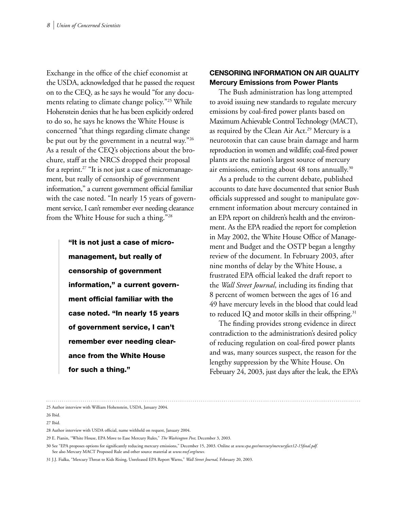Exchange in the office of the chief economist at the USDA, acknowledged that he passed the request on to the CEQ, as he says he would "for any documents relating to climate change policy."25 While Hohenstein denies that he has been explicitly ordered to do so, he says he knows the White House is concerned "that things regarding climate change be put out by the government in a neutral way."26 As a result of the CEQ's objections about the brochure, staff at the NRCS dropped their proposal for a reprint.<sup>27</sup> "It is not just a case of micromanagement, but really of censorship of government information," a current government official familiar with the case noted. "In nearly 15 years of government service, I can't remember ever needing clearance from the White House for such a thing."28

> "It is not just a case of micromanagement, but really of censorship of government information," a current government official familiar with the case noted. "In nearly 15 years of government service, I can't remember ever needing clearance from the White House for such a thing."

## **CENSORING INFORMATION ON AIR QUALITY Mercury Emissions from Power Plants**

 The Bush administration has long attempted to avoid issuing new standards to regulate mercury emissions by coal-fired power plants based on Maximum Achievable Control Technology (MACT), as required by the Clean Air Act.<sup>29</sup> Mercury is a neurotoxin that can cause brain damage and harm reproduction in women and wildlife; coal-fired power plants are the nation's largest source of mercury air emissions, emitting about 48 tons annually.<sup>30</sup>

 As a prelude to the current debate, published accounts to date have documented that senior Bush officials suppressed and sought to manipulate government information about mercury contained in an EPA report on children's health and the environment. As the EPA readied the report for completion in May 2002, the White House Office of Management and Budget and the OSTP began a lengthy review of the document. In February 2003, after nine months of delay by the White House, a frustrated EPA official leaked the draft report to the *Wall Street Journal*, including its finding that 8 percent of women between the ages of 16 and 49 have mercury levels in the blood that could lead to reduced IQ and motor skills in their offspring. $31$ 

The finding provides strong evidence in direct contradiction to the administration's desired policy of reducing regulation on coal-fired power plants and was, many sources suspect, the reason for the lengthy suppression by the White House. On February 24, 2003, just days after the leak, the EPA's

<sup>25</sup> Author interview with William Hohenstein, USDA, January 2004.

<sup>26</sup> Ibid.

<sup>27</sup> Ibid.

<sup>28</sup> Author interview with USDA official, name withheld on request, January 2004.

<sup>29</sup> E. Pianin, "White House, EPA Move to Ease Mercury Rules," *The Washington Post,* December 3, 2003.

<sup>30</sup> See "EPA proposes options for signifi cantly reducing mercury emissions," December 15, 2003. Online at *www.epa.gov/mercury/mercuryfact12-15fi nal.pdf.*  See also Mercury MACT Proposed Rule and other source material at *www.nwf.org/news*.

<sup>31</sup> J.J. Fialka, "Mercury Threat to Kids Rising, Unreleased EPA Report Warns," *Wall Street Journal,* February 20, 2003.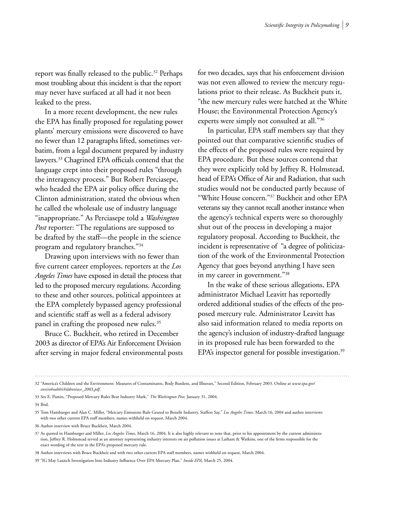report was finally released to the public.<sup>32</sup> Perhaps most troubling about this incident is that the report may never have surfaced at all had it not been leaked to the press.

 In a more recent development, the new rules the EPA has finally proposed for regulating power plants' mercury emissions were discovered to have no fewer than 12 paragraphs lifted, sometimes verbatim, from a legal document prepared by industry lawyers.<sup>33</sup> Chagrined EPA officials contend that the language crept into their proposed rules "through the interagency process." But Robert Perciasepe, who headed the EPA air policy office during the Clinton administration, stated the obvious when he called the wholesale use of industry language "inappropriate." As Perciasepe told a *Washington Post* reporter: "The regulations are supposed to be drafted by the staff—the people in the science program and regulatory branches."34

 Drawing upon interviews with no fewer than five current career employees, reporters at the *Los Angeles Times* have exposed in detail the process that led to the proposed mercury regulations. According to these and other sources, political appointees at the EPA completely bypassed agency professional and scientific staff as well as a federal advisory panel in crafting the proposed new rules.<sup>35</sup>

 Bruce C. Buckheit, who retired in December 2003 as director of EPA's Air Enforcement Division after serving in major federal environmental posts

for two decades, says that his enforcement division was not even allowed to review the mercury regulations prior to their release. As Buckheit puts it, "the new mercury rules were hatched at the White House; the Environmental Protection Agency's experts were simply not consulted at all."36

 In particular, EPA staff members say that they pointed out that comparative scientific studies of the effects of the proposed rules were required by EPA procedure. But these sources contend that they were explicitly told by Jeffrey R. Holmstead, head of EPA's Office of Air and Radiation, that such studies would not be conducted partly because of "White House concern."37 Buckheit and other EPA veterans say they cannot recall another instance when the agency's technical experts were so thoroughly shut out of the process in developing a major regulatory proposal. According to Buckheit, the incident is representative of "a degree of politicization of the work of the Environmental Protection Agency that goes beyond anything I have seen in my career in government."38

 In the wake of these serious allegations, EPA administrator Michael Leavitt has reportedly ordered additional studies of the effects of the proposed mercury rule. Administrator Leavitt has also said information related to media reports on the agency's inclusion of industry-drafted language in its proposed rule has been forwarded to the EPA's inspector general for possible investigation.39

33 See E. Pianin, "Proposed Mercury Rules Bear Industry Mark," *The Washington Post,* January 31, 2004.

34 Ibid.

38 Author interviews with Bruce Buckheit and with two other current EPA staff members, names withheld on request, March 2004.

<sup>32</sup> "America's Children and the Environment: Measures of Contaminants, Body Burdens, and Illnesses," Second Edition, February 2003. Online at *www.epa.gov/ envirohealth/children/ace\_2003.pdf*.

<sup>35</sup> Tom Hamburger and Alan C. Miller, "Mercury Emissions Rule Geared to Benefi t Industry, Staffers Say," *Los Angeles Times,* March 16, 2004 and author interviews with two other current EPA staff members, names withheld on request, March 2004.

<sup>36</sup> Author interview with Bruce Buckheit, March 2004.

<sup>37</sup> As quoted in Hamburger and Miller, *Los Angeles Times,* March 16, 2004. It is also highly relevant to note that, prior to his appointment by the current administration, Jeffrey R. Holmstead served as an attorney representing industry interests on air pollution issues at Latham & Watkins, one of the firms responsible for the exact wording of the text in the EPA's proposed mercury rule.

<sup>39 &</sup>quot;IG May Launch Investigation Into Industry Influence Over EPA Mercury Plan," Inside EPA, March 25, 2004.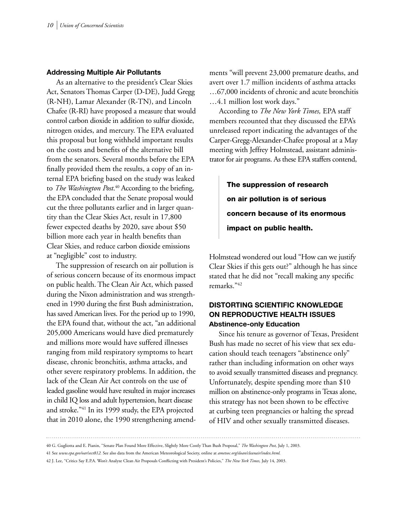#### **Addressing Multiple Air Pollutants**

 As an alternative to the president's Clear Skies Act, Senators Thomas Carper (D-DE), Judd Gregg (R-NH), Lamar Alexander (R-TN), and Lincoln Chafee (R-RI) have proposed a measure that would control carbon dioxide in addition to sulfur dioxide, nitrogen oxides, and mercury. The EPA evaluated this proposal but long withheld important results on the costs and benefits of the alternative bill from the senators. Several months before the EPA finally provided them the results, a copy of an internal EPA briefing based on the study was leaked to *The Washington Post*.<sup>40</sup> According to the briefing, the EPA concluded that the Senate proposal would cut the three pollutants earlier and in larger quantity than the Clear Skies Act, result in 17,800 fewer expected deaths by 2020, save about \$50 billion more each year in health benefits than Clear Skies, and reduce carbon dioxide emissions at "negligible" cost to industry.

 The suppression of research on air pollution is of serious concern because of its enormous impact on public health. The Clean Air Act, which passed during the Nixon administration and was strengthened in 1990 during the first Bush administration, has saved American lives. For the period up to 1990, the EPA found that, without the act, "an additional 205,000 Americans would have died prematurely and millions more would have suffered illnesses ranging from mild respiratory symptoms to heart disease, chronic bronchitis, asthma attacks, and other severe respiratory problems. In addition, the lack of the Clean Air Act controls on the use of leaded gasoline would have resulted in major increases in child IQ loss and adult hypertension, heart disease and stroke."41 In its 1999 study, the EPA projected that in 2010 alone, the 1990 strengthening amendments "will prevent 23,000 premature deaths, and avert over 1.7 million incidents of asthma attacks …67,000 incidents of chronic and acute bronchitis …4.1 million lost work days."

 According to *The New York Times,* EPA staff members recounted that they discussed the EPA's unreleased report indicating the advantages of the Carper-Gregg-Alexander-Chafee proposal at a May meeting with Jeffrey Holmstead, assistant administrator for air programs. As these EPA staffers contend,

> The suppression of research on air pollution is of serious concern because of its enormous impact on public health.

Holmstead wondered out loud "How can we justify Clear Skies if this gets out?" although he has since stated that he did not "recall making any specific remarks."42

## **DISTORTING SCIENTIFIC KNOWLEDGE ON REPRODUCTIVE HEALTH ISSUES Abstinence-only Education**

 Since his tenure as governor of Texas, President Bush has made no secret of his view that sex education should teach teenagers "abstinence only" rather than including information on other ways to avoid sexually transmitted diseases and pregnancy. Unfortunately, despite spending more than \$10 million on abstinence-only programs in Texas alone, this strategy has not been shown to be effective at curbing teen pregnancies or halting the spread of HIV and other sexually transmitted diseases.

<sup>40</sup> G. Gugliotta and E. Pianin, "Senate Plan Found More Effective, Slightly More Costly Than Bush Proposal," *The Washington Post,* July 1, 2003.

<sup>41</sup> See *www.epa.gov/oar/sect812.* See also data from the American Meteorological Society, online at *ametsoc.org/sloan/cleanair/index.html.*

<sup>42</sup> J. Lee, "Critics Say E.P.A. Won't Analyze Clean Air Proposals Conflicting with President's Policies," The New York Times, July 14, 2003.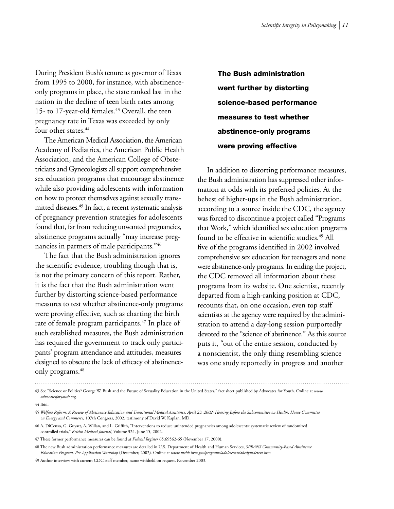During President Bush's tenure as governor of Texas from 1995 to 2000, for instance, with abstinenceonly programs in place, the state ranked last in the nation in the decline of teen birth rates among 15- to 17-year-old females.<sup>43</sup> Overall, the teen pregnancy rate in Texas was exceeded by only four other states.<sup>44</sup>

 The American Medical Association, the American Academy of Pediatrics, the American Public Health Association, and the American College of Obstetricians and Gynecologists all support comprehensive sex education programs that encourage abstinence while also providing adolescents with information on how to protect themselves against sexually transmitted diseases.45 In fact, a recent systematic analysis of pregnancy prevention strategies for adolescents found that, far from reducing unwanted pregnancies, abstinence programs actually "may increase pregnancies in partners of male participants."<sup>46</sup>

 The fact that the Bush administration ignores the scientific evidence, troubling though that is, is not the primary concern of this report. Rather, it is the fact that the Bush administration went further by distorting science-based performance measures to test whether abstinence-only programs were proving effective, such as charting the birth rate of female program participants.<sup>47</sup> In place of such established measures, the Bush administration has required the government to track only participants' program attendance and attitudes, measures designed to obscure the lack of efficacy of abstinenceonly programs.<sup>48</sup>

The Bush administration went further by distorting science-based performance measures to test whether abstinence-only programs were proving effective

 In addition to distorting performance measures, the Bush administration has suppressed other information at odds with its preferred policies. At the behest of higher-ups in the Bush administration, according to a source inside the CDC, the agency was forced to discontinue a project called "Programs that Work," which identified sex education programs found to be effective in scientific studies.<sup>49</sup> All five of the programs identified in 2002 involved comprehensive sex education for teenagers and none were abstinence-only programs. In ending the project, the CDC removed all information about these programs from its website. One scientist, recently departed from a high-ranking position at CDC, recounts that, on one occasion, even top staff scientists at the agency were required by the administration to attend a day-long session purportedly devoted to the "science of abstinence." As this source puts it, "out of the entire session, conducted by a nonscientist, the only thing resembling science was one study reportedly in progress and another

<sup>43</sup> See "Science or Politics? George W. Bush and the Future of Sexuality Education in the United States," fact sheet published by Advocates for Youth. Online at *www. advocatesforyouth.org.*

<sup>44</sup> Ibid.

<sup>45</sup> *Welfare Reform: A Review of Abstinence Education and Transitional Medical Assistance, April 23, 2002: Hearing Before the Subcommittee on Health, House Committee on Energy and Commerce,* 107th Congress, 2002, testimony of David W. Kaplan, MD.

<sup>46</sup> A. DiCenso, G. Guyatt, A. Willan, and L. Griffith, "Interventions to reduce unintended pregnancies among adolescents: systematic review of randomized controlled trials," *British Medical Journal*, Volume 324, June 15, 2002.

<sup>47</sup> These former performance measures can be found at *Federal Register* 65:69562-65 (November 17, 2000).

<sup>48</sup> The new Bush administration performance measures are detailed in U.S. Department of Health and Human Services, *SPRANS Community-Based Abstinence Education Program, Pre-Application Workshop* (December, 2002). Online at *www.mchb.hrsa.gov/programs/adolescents/abedguidetext.htm*.

<sup>49</sup> Author interview with current CDC staff member, name withheld on request, November 2003.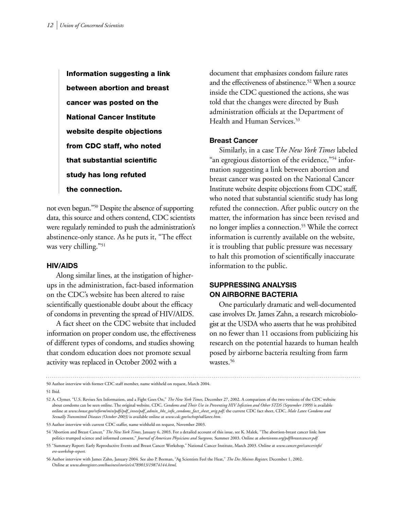Information suggesting a link between abortion and breast cancer was posted on the National Cancer Institute website despite objections from CDC staff, who noted that substantial scientific study has long refuted the connection.

not even begun."50 Despite the absence of supporting data, this source and others contend, CDC scientists were regularly reminded to push the administration's abstinence-only stance. As he puts it, "The effect was very chilling."<sup>51</sup>

#### **HIV/AIDS**

 Along similar lines, at the instigation of higherups in the administration, fact-based information on the CDC's website has been altered to raise scientifically questionable doubt about the efficacy of condoms in preventing the spread of HIV/AIDS.

 A fact sheet on the CDC website that included information on proper condom use, the effectiveness of different types of condoms, and studies showing that condom education does not promote sexual activity was replaced in October 2002 with a

document that emphasizes condom failure rates and the effectiveness of abstinence.<sup>52</sup> When a source inside the CDC questioned the actions, she was told that the changes were directed by Bush administration officials at the Department of Health and Human Services.<sup>53</sup>

#### **Breast Cancer**

 Similarly, in a case T*he New York Times* labeled "an egregious distortion of the evidence,"<sup>54</sup> information suggesting a link between abortion and breast cancer was posted on the National Cancer Institute website despite objections from CDC staff, who noted that substantial scientific study has long refuted the connection. After public outcry on the matter, the information has since been revised and no longer implies a connection.<sup>55</sup> While the correct information is currently available on the website, it is troubling that public pressure was necessary to halt this promotion of scientifically inaccurate information to the public.

## **SUPPRESSING ANALYSIS ON AIRBORNE BACTERIA**

 One particularly dramatic and well-documented case involves Dr. James Zahn, a research microbiologist at the USDA who asserts that he was prohibited on no fewer than 11 occasions from publicizing his research on the potential hazards to human health posed by airborne bacteria resulting from farm wastes.<sup>56</sup>

- 53 Author interview with current CDC staffer, name withheld on request, November 2003.
- 54 "Abortion and Breast Cancer," *The New York Times*, January 6, 2003. For a detailed account of this issue, see K. Malek, "The abortion-breast cancer link: how politics trumped science and informed consent," *Journal of American Physicians and Surgeons,* Summer 2003. Online at *abortionno.org/pdf/breastcancer.pdf*.

<sup>50</sup> Author interview with former CDC staff member, name withheld on request, March 2004.

<sup>51</sup> Ibid.

<sup>52</sup> A. Clymer, "U.S. Revises Sex Information, and a Fight Goes On," *The New York Times,* December 27, 2002. A comparison of the two versions of the CDC website about condoms can be seen online. The original website, CDC, *Condoms and Their Use in Preventing HIV Infection and Other STDS (September 1999)* is available online at *www.house.gov/reform/min/pdfs/pdf\_inves/pdf\_admin\_hhs\_info\_condoms\_fact\_sheet\_orig.pdf;* the current CDC fact sheet, CDC, *Male Latex Condoms and Sexually Transmitted Diseases (October 2003)* is available online at *www.cdc.gov/nchstp/od/latex.htm*.

<sup>55 &</sup>quot;Summary Report: Early Reproductive Events and Breast Cancer Workshop," National Cancer Institute, March 2003. Online at *www.cancer.gov/cancerinfo/ ere-workshop-report.*

<sup>56</sup> Author interview with James Zahn, January 2004. See also P. Beeman, "Ag Scientists Feel the Heat," *The Des Moines Register,* December 1, 2002. Online at *www.dmregister.com/business/stories/c4789013/19874144.html*.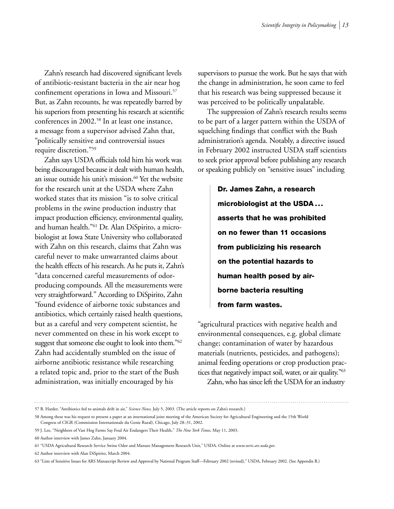Zahn's research had discovered significant levels of antibiotic-resistant bacteria in the air near hog confinement operations in Iowa and Missouri.<sup>57</sup> But, as Zahn recounts, he was repeatedly barred by his superiors from presenting his research at scientific conferences in 2002.58 In at least one instance, a message from a supervisor advised Zahn that, "politically sensitive and controversial issues require discretion."59

Zahn says USDA officials told him his work was being discouraged because it dealt with human health, an issue outside his unit's mission.<sup>60</sup> Yet the website for the research unit at the USDA where Zahn worked states that its mission "is to solve critical problems in the swine production industry that impact production efficiency, environmental quality, and human health."61 Dr. Alan DiSpirito, a microbiologist at Iowa State University who collaborated with Zahn on this research, claims that Zahn was careful never to make unwarranted claims about the health effects of his research. As he puts it, Zahn's "data concerned careful measurements of odorproducing compounds. All the measurements were very straightforward." According to DiSpirito, Zahn "found evidence of airborne toxic substances and antibiotics, which certainly raised health questions, but as a careful and very competent scientist, he never commented on these in his work except to suggest that someone else ought to look into them."62 Zahn had accidentally stumbled on the issue of airborne antibiotic resistance while researching a related topic and, prior to the start of the Bush administration, was initially encouraged by his

supervisors to pursue the work. But he says that with the change in administration, he soon came to feel that his research was being suppressed because it was perceived to be politically unpalatable.

 The suppression of Zahn's research results seems to be part of a larger pattern within the USDA of squelching findings that conflict with the Bush administration's agenda. Notably, a directive issued in February 2002 instructed USDA staff scientists to seek prior approval before publishing any research or speaking publicly on "sensitive issues" including

> Dr. James Zahn, a research microbiologist at the USDA ... asserts that he was prohibited on no fewer than 11 occasions from publicizing his research on the potential hazards to human health posed by airborne bacteria resulting from farm wastes.

"agricultural practices with negative health and environmental consequences, e.g. global climate change; contamination of water by hazardous materials (nutrients, pesticides, and pathogens); animal feeding operations or crop production practices that negatively impact soil, water, or air quality."63

Zahn, who has since left the USDA for an industry

<sup>57</sup> B. Harder, "Antibiotics fed to animals drift in air," *Science News,* July 5, 2003. (The article reports on Zahn's research.)

<sup>58</sup> Among these was his request to present a paper at an international joint meeting of the American Society for Agricultural Engineering and the 15th World Congress of CIGR (Commission Internationale du Genie Rural), Chicago, July 28–31, 2002.

<sup>59</sup> J. Lee, "Neighbors of Vast Hog Farms Say Foul Air Endangers Their Health," *The New York Times,* May 11, 2003.

<sup>60</sup> Author interview with James Zahn, January 2004.

<sup>61 &</sup>quot;USDA Agricultural Research Service Swine Odor and Manure Management Research Unit," USDA. Online at *www.nsric.ars.usda.gov*.

<sup>62</sup> Author interview with Alan DiSpirito, March 2004.

<sup>63 &</sup>quot;Lists of Sensitive Issues for ARS Manuscript Review and Approval by National Program Staff—February 2002 (revised)," USDA, February 2002. (See Appendix B.)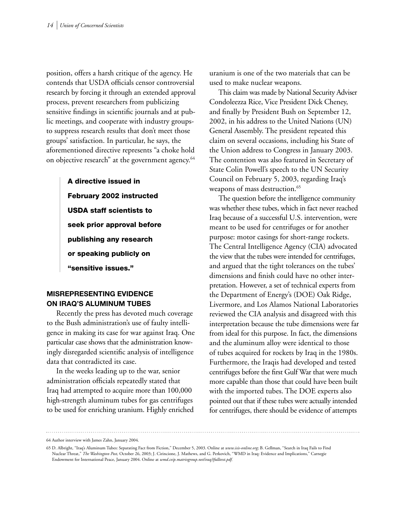position, offers a harsh critique of the agency. He contends that USDA officials censor controversial research by forcing it through an extended approval process, prevent researchers from publicizing sensitive findings in scientific journals and at public meetings, and cooperate with industry groupsto suppress research results that don't meet those groups' satisfaction. In particular, he says, the aforementioned directive represents "a choke hold on objective research" at the government agency.<sup>64</sup>

> A directive issued in February 2002 instructed USDA staff scientists to seek prior approval before publishing any research or speaking publicly on "sensitive issues."

## **MISREPRESENTING EVIDENCE ON IRAQ'S ALUMINUM TUBES**

 Recently the press has devoted much coverage to the Bush administration's use of faulty intelligence in making its case for war against Iraq. One particular case shows that the administration knowingly disregarded scientific analysis of intelligence data that contradicted its case.

 In the weeks leading up to the war, senior administration officials repeatedly stated that Iraq had attempted to acquire more than 100,000 high-strength aluminum tubes for gas centrifuges to be used for enriching uranium. Highly enriched uranium is one of the two materials that can be used to make nuclear weapons.

 This claim was made by National Security Adviser Condoleezza Rice, Vice President Dick Cheney, and finally by President Bush on September 12, 2002, in his address to the United Nations (UN) General Assembly. The president repeated this claim on several occasions, including his State of the Union address to Congress in January 2003. The contention was also featured in Secretary of State Colin Powell's speech to the UN Security Council on February 5, 2003, regarding Iraq's weapons of mass destruction.<sup>65</sup>

 The question before the intelligence community was whether these tubes, which in fact never reached Iraq because of a successful U.S. intervention, were meant to be used for centrifuges or for another purpose: motor casings for short-range rockets. The Central Intelligence Agency (CIA) advocated the view that the tubes were intended for centrifuges, and argued that the tight tolerances on the tubes' dimensions and finish could have no other interpretation. However, a set of technical experts from the Department of Energy's (DOE) Oak Ridge, Livermore, and Los Alamos National Laboratories reviewed the CIA analysis and disagreed with this interpretation because the tube dimensions were far from ideal for this purpose. In fact, the dimensions and the aluminum alloy were identical to those of tubes acquired for rockets by Iraq in the 1980s. Furthermore, the Iraqis had developed and tested centrifuges before the first Gulf War that were much more capable than those that could have been built with the imported tubes. The DOE experts also pointed out that if these tubes were actually intended for centrifuges, there should be evidence of attempts

<sup>64</sup> Author interview with James Zahn, January 2004.

<sup>65</sup> D. Albright, "Iraq's Aluminum Tubes: Separating Fact from Fiction," December 5, 2003. Online at *www.isis-online.org* ; B. Gellman, "Search in Iraq Fails to Find Nuclear Threat," *The Washington Post,* October 26, 2003; J. Cirincione, J. Mathews, and G. Perkovich, "WMD in Iraq: Evidence and Implications," Carnegie Endowment for International Peace, January 2004. Online at *wmd.ceip.matrixgroup.net/iraq3fulltext.pdf*.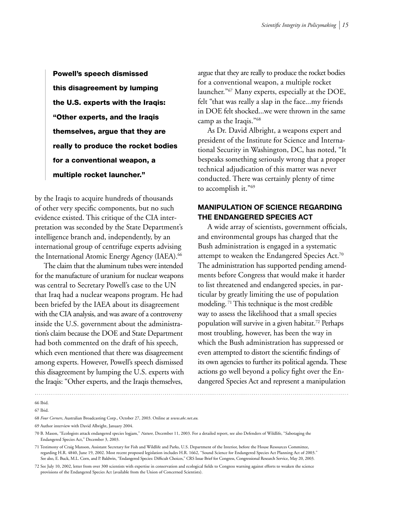Powell's speech dismissed this disagreement by lumping the U.S. experts with the Iraqis: "Other experts, and the Iraqis themselves, argue that they are really to produce the rocket bodies for a conventional weapon, a multiple rocket launcher."

by the Iraqis to acquire hundreds of thousands of other very specific components, but no such evidence existed. This critique of the CIA interpretation was seconded by the State Department's intelligence branch and, independently, by an international group of centrifuge experts advising the International Atomic Energy Agency (IAEA).<sup>66</sup>

 The claim that the aluminum tubes were intended for the manufacture of uranium for nuclear weapons was central to Secretary Powell's case to the UN that Iraq had a nuclear weapons program. He had been briefed by the IAEA about its disagreement with the CIA analysis, and was aware of a controversy inside the U.S. government about the administration's claim because the DOE and State Department had both commented on the draft of his speech, which even mentioned that there was disagreement among experts. However, Powell's speech dismissed this disagreement by lumping the U.S. experts with the Iraqis: "Other experts, and the Iraqis themselves,

argue that they are really to produce the rocket bodies for a conventional weapon, a multiple rocket launcher."67 Many experts, especially at the DOE, felt "that was really a slap in the face...my friends in DOE felt shocked...we were thrown in the same camp as the Iraqis."68

 As Dr. David Albright, a weapons expert and president of the Institute for Science and International Security in Washington, DC, has noted, "It bespeaks something seriously wrong that a proper technical adjudication of this matter was never conducted. There was certainly plenty of time to accomplish it."69

## **MANIPULATION OF SCIENCE REGARDING THE ENDANGERED SPECIES ACT**

A wide array of scientists, government officials, and environmental groups has charged that the Bush administration is engaged in a systematic attempt to weaken the Endangered Species Act.<sup>70</sup> The administration has supported pending amendments before Congress that would make it harder to list threatened and endangered species, in particular by greatly limiting the use of population modeling. 71 This technique is the most credible way to assess the likelihood that a small species population will survive in a given habitat.72 Perhaps most troubling, however, has been the way in which the Bush administration has suppressed or even attempted to distort the scientific findings of its own agencies to further its political agenda. These actions go well beyond a policy fight over the Endangered Species Act and represent a manipulation

<sup>66</sup> Ibid.

<sup>67</sup> Ibid.

<sup>68</sup> *Four Corners*, Australian Broadcasting Corp., October 27, 2003. Online at *www.abc.net.au.*

<sup>69</sup> Author interview with David Albright, January 2004.

<sup>70</sup> B. Mason, "Ecologists attack endangered species logjam," *Nature,* December 11, 2003. For a detailed report, see also Defenders of Wildlife, "Sabotaging the Endangered Species Act," December 3, 2003.

<sup>71</sup> Testimony of Craig Manson, Assistant Secretary for Fish and Wildlife and Parks, U.S. Department of the Interior, before the House Resources Committee, regarding H.R. 4840, June 19, 2002. Most recent proposed legislation includes H.R. 1662, "Sound Science for Endangered Species Act Planning Act of 2003." See also, E. Buck, M.L. Corn, and P. Baldwin, "Endangered Species: Difficult Choices," CRS Issue Brief for Congress, Congressional Research Service, May 20, 2003.

<sup>72</sup> See July 10, 2002, letter from over 300 scientists with expertise in conservation and ecological fields to Congress warning against efforts to weaken the science provisions of the Endangered Species Act (available from the Union of Concerned Scientists).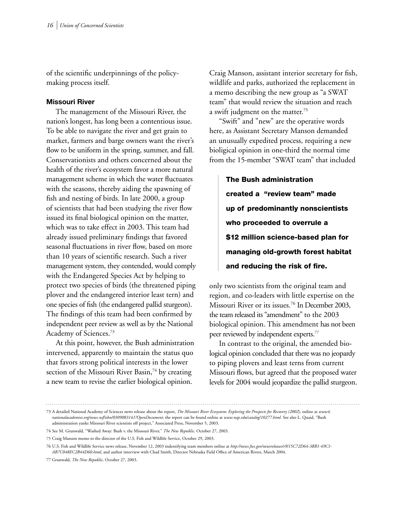of the scientific underpinnings of the policymaking process itself.

#### **Missouri River**

 The management of the Missouri River, the nation's longest, has long been a contentious issue. To be able to navigate the river and get grain to market, farmers and barge owners want the river's flow to be uniform in the spring, summer, and fall. Conservationists and others concerned about the health of the river's ecosystem favor a more natural management scheme in which the water fluctuates with the seasons, thereby aiding the spawning of fish and nesting of birds. In late 2000, a group of scientists that had been studying the river flow issued its final biological opinion on the matter, which was to take effect in 2003. This team had already issued preliminary findings that favored seasonal fluctuations in river flow, based on more than 10 years of scientific research. Such a river management system, they contended, would comply with the Endangered Species Act by helping to protect two species of birds (the threatened piping plover and the endangered interior least tern) and one species of fish (the endangered pallid sturgeon). The findings of this team had been confirmed by independent peer review as well as by the National Academy of Sciences.73

 At this point, however, the Bush administration intervened, apparently to maintain the status quo that favors strong political interests in the lower section of the Missouri River Basin,<sup>74</sup> by creating a new team to revise the earlier biological opinion.

Craig Manson, assistant interior secretary for fish, wildlife and parks, authorized the replacement in a memo describing the new group as "a SWAT team" that would review the situation and reach a swift judgment on the matter.<sup>75</sup>

 "Swift" and "new" are the operative words here, as Assistant Secretary Manson demanded an unusually expedited process, requiring a new bioligical opinion in one-third the normal time from the 15-member "SWAT team" that included

> The Bush administration created a "review team" made up of predominantly nonscientists who proceeded to overrule a \$12 million science-based plan for managing old-growth forest habitat and reducing the risk of fire.

only two scientists from the original team and region, and co-leaders with little expertise on the Missouri River or its issues.<sup>76</sup> In December 2003, the team released its "amendment" to the 2003 biological opinion. This amendment has not been peer reviewed by independent experts.<sup>77</sup>

 In contrast to the original, the amended biological opinion concluded that there was no jeopardy to piping plovers and least terns from current Missouri flows, but agreed that the proposed water levels for 2004 would jeopardize the pallid sturgeon.

<sup>73</sup> A detailed National Academy of Sciences news release about the report, *The Missouri River Ecosystem: Exploring the Prospects for Recovery (2002*), online at *www4.*

*nationalacademies.org/news.nsf/isbn/0309083141?OpenDocument*; the report can be found online at *www.nap.edu/catalog/10277.html*. See also L. Quaid, "Bush administration yanks Missouri River scientists off project," Associated Press, November 5, 2003.

<sup>74</sup> See M. Grunwald, "Washed Away: Bush v. the Missouri River," *The New Republic,* October 27, 2003.

<sup>75</sup> Craig Manson memo to the director of the U.S. Fish and Wildlife Service, October 29, 2003.

<sup>76</sup> U.S. Fish and Wildlife Service news release, November 12, 2003 indentifying team members online at *http://news.fws.gov/newsreleases/r9/15C72D64-3BB1-49C1- AB7C048EC2B44D60.html*, and author interview with Chad Smith, Director Nebraska Field Office of American Rivers, March 2004.

<sup>77</sup> Grunwald, *The New Republic,* October 27, 2003.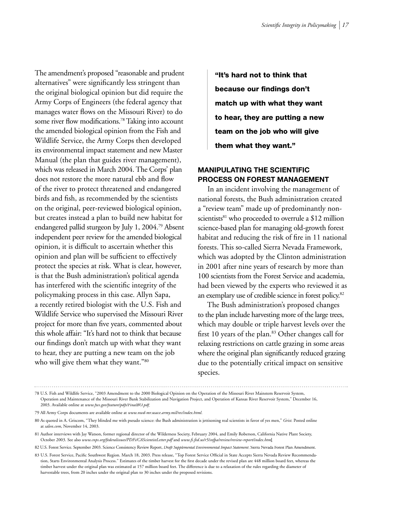The amendment's proposed "reasonable and prudent alternatives" were significantly less stringent than the original biological opinion but did require the Army Corps of Engineers (the federal agency that manages water flows on the Missouri River) to do some river flow modifications.<sup>78</sup> Taking into account the amended biological opinion from the Fish and Wildlife Service, the Army Corps then developed its environmental impact statement and new Master Manual (the plan that guides river management), which was released in March 2004. The Corps' plan does not restore the more natural ebb and flow of the river to protect threatened and endangered birds and fish, as recommended by the scientists on the original, peer-reviewed biological opinion, but creates instead a plan to build new habitat for endangered pallid sturgeon by July 1, 2004.79 Absent independent peer review for the amended biological opinion, it is difficult to ascertain whether this opinion and plan will be sufficient to effectively protect the species at risk. What is clear, however, is that the Bush administration's political agenda has interfered with the scientific integrity of the policymaking process in this case. Allyn Sapa, a recently retired biologist with the U.S. Fish and Wildlife Service who supervised the Missouri River project for more than five years, commented about this whole affair: "It's hard not to think that because our findings don't match up with what they want to hear, they are putting a new team on the job who will give them what they want."<sup>80</sup>

"It's hard not to think that because our findings don't match up with what they want to hear, they are putting a new team on the job who will give them what they want."

## **MANIPULATING THE SCIENTIFIC PROCESS ON FOREST MANAGEMENT**

 In an incident involving the management of national forests, the Bush administration created a "review team" made up of predominantly nonscientists<sup>81</sup> who proceeded to overrule a \$12 million science-based plan for managing old-growth forest habitat and reducing the risk of fire in 11 national forests. This so-called Sierra Nevada Framework, which was adopted by the Clinton administration in 2001 after nine years of research by more than 100 scientists from the Forest Service and academia, had been viewed by the experts who reviewed it as an exemplary use of credible science in forest policy.<sup>82</sup>

 The Bush administration's proposed changes to the plan include harvesting more of the large trees, which may double or triple harvest levels over the first 10 years of the plan. $83$  Other changes call for relaxing restrictions on cattle grazing in some areas where the original plan significantly reduced grazing due to the potentially critical impact on sensitive species.

79 All Army Corps documents are available online at *www.nwd-mr.usace.army.mil/rec/index.html*.

<sup>78</sup> U.S. Fish and Wildlife Service, "2003 Amendment to the 2000 Biological Opinion on the Operation of the Missouri River Mainstem Reservoir System, Operation and Maintenance of the Missouri River Bank Stabilization and Navigation Project, and Operation of Kansas River Reservoir System," December 16, 2003. Available online at *www.fws.gov/feature/pdfs/FinalBO.pdf*.

<sup>80</sup> As quoted in A. Griscom, "They blinded me with pseudo science: the Bush administration is jettisoning real scientists in favor of yes men," *Grist.* Posted online at *salon.com*, November 14, 2003.

<sup>81</sup> Author interviews with Jay Watson, former regional director of the Wilderness Society, February 2004, and Emily Roberson, California Native Plant Society, October 2003. See also *www.cnps.org/federalissues/PDFs/CAScientistLetter.pdf* and *www.fs.fed.us/r5/snfpa/review/review-report/index.htm*l

<sup>82</sup> U.S. Forest Service. September 2003. Science Consistency Review Report, *Draft Supplemental Environmental Impact Statement*, Sierra Nevada Forest Plan Amendment.

<sup>83</sup> U.S. Forest Service, Pacific Southwest Region. March 18, 2003. Press release, "Top Forest Service Official in State Accepts Sierra Nevada Review Recommendation, Starts Environmental Analysis Process." Estimates of the timber harvest for the first decade under the revised plan are 448 million board feet, whereas the timber harvest under the original plan was estimated at 157 million board feet. The difference is due to a relaxation of the rules regarding the diameter of harvestable trees, from 20 inches under the original plan to 30 inches under the proposed revisions.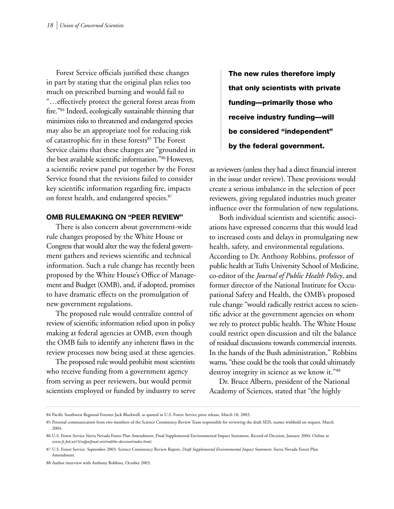Forest Service officials justified these changes in part by stating that the original plan relies too much on prescribed burning and would fail to "…effectively protect the general forest areas from fire."<sup>84</sup> Indeed, ecologically sustainable thinning that minimizes risks to threatened and endangered species may also be an appropriate tool for reducing risk of catastrophic fire in these forests<sup>85</sup> The Forest Service claims that these changes are "grounded in the best available scientific information."<sup>86</sup> However, a scientific review panel put together by the Forest Service found that the revisions failed to consider key scientific information regarding fire, impacts on forest health, and endangered species.<sup>87</sup>

#### **OMB RULEMAKING ON "PEER REVIEW"**

 There is also concern about government-wide rule changes proposed by the White House or Congress that would alter the way the federal government gathers and reviews scientific and technical information. Such a rule change has recently been proposed by the White House's Office of Management and Budget (OMB), and, if adopted, promises to have dramatic effects on the promulgation of new government regulations.

 The proposed rule would centralize control of review of scientific information relied upon in policy making at federal agencies at OMB, even though the OMB fails to identify any inherent flaws in the review processes now being used at these agencies.

 The proposed rule would prohibit most scientists who receive funding from a government agency from serving as peer reviewers, but would permit scientists employed or funded by industry to serve The new rules therefore imply that only scientists with private funding—primarily those who receive industry funding—will be considered "independent" by the federal government.

as reviewers (unless they had a direct financial interest in the issue under review). These provisions would create a serious imbalance in the selection of peer reviewers, giving regulated industries much greater influence over the formulation of new regulations.

Both individual scientists and scientific associations have expressed concerns that this would lead to increased costs and delays in promulgating new health, safety, and environmental regulations. According to Dr. Anthony Robbins, professor of public health at Tufts University School of Medicine, co-editor of the *Journal of Public Health Policy*, and former director of the National Institute for Occupational Safety and Health, the OMB's proposed rule change "would radically restrict access to scientific advice at the government agencies on whom we rely to protect public health. The White House could restrict open discussion and tilt the balance of residual discussions towards commercial interests. In the hands of the Bush administration," Robbins warns, "these could be the tools that could ultimately destroy integrity in science as we know it."88

 Dr. Bruce Alberts, president of the National Academy of Sciences, stated that "the highly

<sup>84</sup> Pacific Southwest Regional Forester Jack Blackwell, as quoted in U.S. Forest Service press release, March 18, 2003.

<sup>85</sup> Personal communication from two members of the Science Consistency Review Team responsible for reviewing the draft SEIS, names withheld on request, March 2004.

<sup>86</sup> U.S. Forest Service Sierra Nevada Forest Plan Amendment, Final Supplemental Environmental Impact Statement, Record of Decision, January 2004. Online at *www.fs.fed.us/r5/snfpa/fi nal-seis/rod/the-decision/index.html*.

<sup>87</sup> U.S. Forest Service. September 2003. Science Consistency Review Report, *Draft Supplemental Environmental Impact Statement* , Sierra Nevada Forest Plan Amendment.

<sup>88</sup> Author interview with Anthony Robbins, October 2003.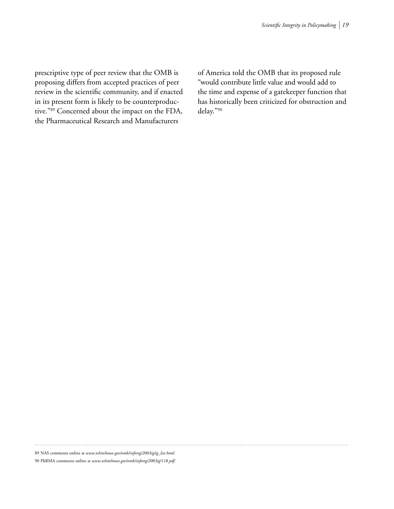prescriptive type of peer review that the OMB is proposing differs from accepted practices of peer review in the scientific community, and if enacted in its present form is likely to be counterproductive."89 Concerned about the impact on the FDA, the Pharmaceutical Research and Manufacturers

of America told the OMB that its proposed rule "would contribute little value and would add to the time and expense of a gatekeeper function that has historically been criticized for obstruction and delay."90

89 NAS comments online at *www.whitehouse.gov/omb/inforeg/2003ig/ig\_list.html.*

90 PhRMA comments online at *www.whitehouse.gov/omb/inforeg/2003ig/118.pdf.*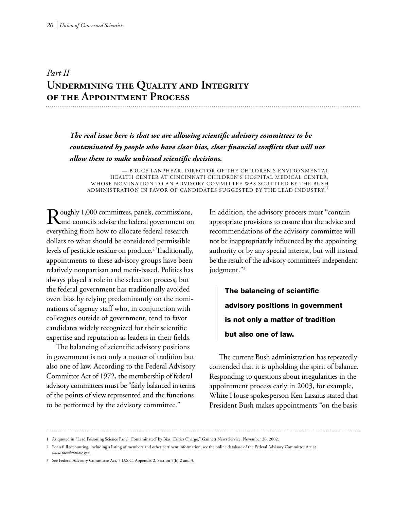# **Undermining the Quality and Integrity of the Appointment Process** *Part II*

# The real issue here is that we are allowing scientific advisory committees to be *contaminated by people who have clear bias, clear financial conflicts that will not allow them to make unbiased scientifi c decisions.*

— BRUCE LANPHEAR, DIRECTOR OF THE CHILDREN'S ENVIRONMENTAL HEALTH CENTER AT CINCINNATI CHILDREN'S HOSPITAL MEDICAL CENTER, WHOSE NOMINATION TO AN ADVISORY COMMITTEE WAS SCUTTLED BY THE BUSH ADMINISTRATION IN FAVOR OF CANDIDATES SUGGESTED BY THE LEAD INDUSTRY.<sup>1</sup>

Roughly 1,000 committees, panels, commissions,<br>Rand councils advise the federal government on everything from how to allocate federal research dollars to what should be considered permissible levels of pesticide residue on produce.<sup>2</sup> Traditionally, appointments to these advisory groups have been relatively nonpartisan and merit-based. Politics has always played a role in the selection process, but the federal government has traditionally avoided overt bias by relying predominantly on the nominations of agency staff who, in conjunction with colleagues outside of government, tend to favor candidates widely recognized for their scientific expertise and reputation as leaders in their fields.

The balancing of scientific advisory positions in government is not only a matter of tradition but also one of law. According to the Federal Advisory Committee Act of 1972, the membership of federal advisory committees must be "fairly balanced in terms of the points of view represented and the functions to be performed by the advisory committee."

In addition, the advisory process must "contain appropriate provisions to ensure that the advice and recommendations of the advisory committee will not be inappropriately influenced by the appointing authority or by any special interest, but will instead be the result of the advisory committee's independent judgment."3

> The balancing of scientific advisory positions in government is not only a matter of tradition but also one of law.

 The current Bush administration has repeatedly contended that it is upholding the spirit of balance. Responding to questions about irregularities in the appointment process early in 2003, for example, White House spokesperson Ken Lasaius stated that President Bush makes appointments "on the basis

<sup>1</sup> As quoted in "Lead Poisoning Science Panel 'Contaminated' by Bias, Critics Charge," Gannett News Service, November 26, 2002.

<sup>2</sup> For a full accounting, including a listing of members and other pertinent information, see the online database of the Federal Advisory Committee Act at *www.facadatabase.gov*.

<sup>3</sup> See Federal Advisory Committee Act, 5 U.S.C. Appendix 2, Section 5(b) 2 and 3.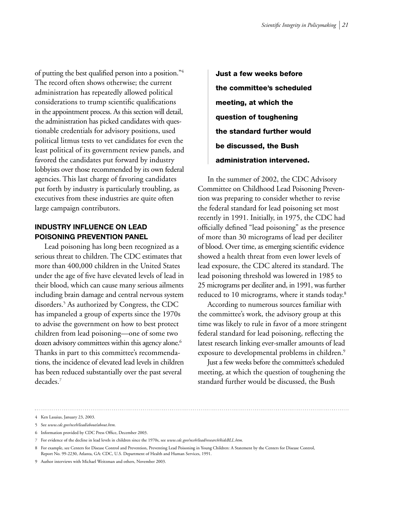of putting the best qualified person into a position." $4$ The record often shows otherwise; the current administration has repeatedly allowed political considerations to trump scientific qualifications in the appointment process. As this section will detail, the administration has picked candidates with questionable credentials for advisory positions, used political litmus tests to vet candidates for even the least political of its government review panels, and favored the candidates put forward by industry lobbyists over those recommended by its own federal agencies. This last charge of favoring candidates put forth by industry is particularly troubling, as executives from these industries are quite often large campaign contributors.

#### **INDUSTRY INFLUENCE ON LEAD POISONING PREVENTION PANEL**

 Lead poisoning has long been recognized as a serious threat to children. The CDC estimates that more than 400,000 children in the United States under the age of five have elevated levels of lead in their blood, which can cause many serious ailments including brain damage and central nervous system disorders.5 As authorized by Congress, the CDC has impaneled a group of experts since the 1970s to advise the government on how to best protect children from lead poisoning—one of some two dozen advisory committees within this agency alone.<sup>6</sup> Thanks in part to this committee's recommendations, the incidence of elevated lead levels in children has been reduced substantially over the past several decades.7

Just a few weeks before the committee's scheduled meeting, at which the question of toughening the standard further would be discussed, the Bush administration intervened.

 In the summer of 2002, the CDC Advisory Committee on Childhood Lead Poisoning Prevention was preparing to consider whether to revise the federal standard for lead poisoning set most recently in 1991. Initially, in 1975, the CDC had officially defined "lead poisoning" as the presence of more than 30 micrograms of lead per deciliter of blood. Over time, as emerging scientific evidence showed a health threat from even lower levels of lead exposure, the CDC altered its standard. The lead poisoning threshold was lowered in 1985 to 25 micrograms per deciliter and, in 1991, was further reduced to 10 micrograms, where it stands today.8

 According to numerous sources familiar with the committee's work, the advisory group at this time was likely to rule in favor of a more stringent federal standard for lead poisoning, reflecting the latest research linking ever-smaller amounts of lead exposure to developmental problems in children.<sup>9</sup>

 Just a few weeks before the committee's scheduled meeting, at which the question of toughening the standard further would be discussed, the Bush

6 Information provided by CDC Press Office, December 2003.

<sup>4</sup> Ken Lasaius, January 23, 2003.

<sup>5</sup> See *www.cdc.gov/nceh/lead/about/about.htm*.

<sup>7</sup> For evidence of the decline in lead levels in children since the 1970s, see *www.cdc.gov/nceh/lead/research/kidsBLL.htm*.

<sup>8</sup> For example, see Centers for Disease Control and Prevention, Preventing Lead Poisoning in Young Children: A Statement by the Centers for Disease Control, Report No. 99-2230, Atlanta, GA: CDC, U.S. Department of Health and Human Services, 1991.

<sup>9</sup> Author interviews with Michael Weitzman and others, November 2003.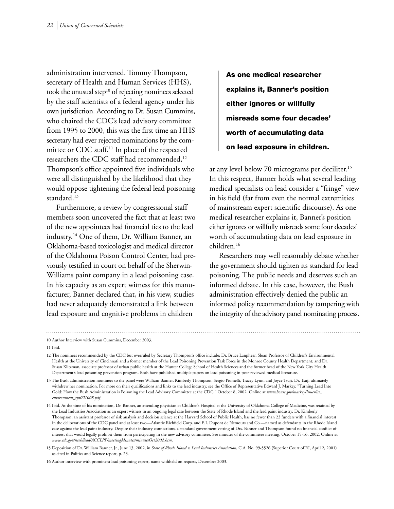administration intervened. Tommy Thompson, secretary of Health and Human Services (HHS), took the unusual step<sup>10</sup> of rejecting nominees selected by the staff scientists of a federal agency under his own jurisdiction. According to Dr. Susan Cummins, who chaired the CDC's lead advisory committee from 1995 to 2000, this was the first time an HHS secretary had ever rejected nominations by the committee or CDC staff.<sup>11</sup> In place of the respected researchers the CDC staff had recommended,<sup>12</sup> Thompson's office appointed five individuals who were all distinguished by the likelihood that they would oppose tightening the federal lead poisoning standard.<sup>13</sup>

 Furthermore, a review by congressional staff members soon uncovered the fact that at least two of the new appointees had financial ties to the lead industry.14 One of them, Dr. William Banner, an Oklahoma-based toxicologist and medical director of the Oklahoma Poison Control Center, had previously testified in court on behalf of the Sherwin-Williams paint company in a lead poisoning case. In his capacity as an expert witness for this manufacturer, Banner declared that, in his view, studies had never adequately demonstrated a link between lead exposure and cognitive problems in children

As one medical researcher explains it, Banner's position either ignores or willfully misreads some four decades' worth of accumulating data on lead exposure in children.

at any level below 70 micrograms per deciliter.15 In this respect, Banner holds what several leading medical specialists on lead consider a "fringe" view in his field (far from even the normal extremities of mainstream expert scientific discourse). As one medical researcher explains it, Banner's position either ignores or willfully misreads some four decades' worth of accumulating data on lead exposure in children.16

 Researchers may well reasonably debate whether the government should tighten its standard for lead poisoning. The public needs and deserves such an informed debate. In this case, however, the Bush administration effectively denied the public an informed policy recommendation by tampering with the integrity of the advisory panel nominating process.

10 Author Interview with Susan Cummins, December 2003.

11 Ibid.

12 The nominees recommended by the CDC but overruled by Secretary Thompson's office include: Dr. Bruce Lanphear, Sloan Professor of Children's Environmental Health at the University of Cincinnati and a former member of the Lead Poisoning Prevention Task Force in the Monroe County Health Department; and Dr. Susan Klitzman, associate professor of urban public health at the Hunter College School of Health Sciences and the former head of the New York City Health Department's lead poisoning prevention program. Both have published multiple papers on lead poisoning in peer-reviewed medical literature.

13 The Bush administration nominees to the panel were William Banner, Kimberly Thompson, Sergio Piomelli, Tracey Lynn, and Joyce Tsuji. Dr. Tsuji ultimately withdrew her nomination. For more on their qualifications and links to the lead industry, see the Office of Representative Edward J. Markey, "Turning Lead Into Gold: How the Bush Administration is Poisoning the Lead Advisory Committee at the CDC," October 8, 2002. Online at *www.house.gov/markey/Issues/iss\_ environment\_rpt021008.pdf*.

14 Ibid. At the time of his nomination, Dr. Banner, an attending physician at Children's Hospital at the University of Oklahoma College of Medicine, was retained by the Lead Industries Association as an expert witness in an ongoing legal case between the State of Rhode Island and the lead paint industry. Dr. Kimberly Thompson, an assistant professor of risk analysis and decision science at the Harvard School of Public Health, has no fewer than 22 funders with a financial interest in the deliberations of the CDC panel and at least two—Atlantic Richfield Corp. and E.I. Dupont de Nemours and Co.—named as defendants in the Rhode Island case against the lead paint industry. Despite their industry connections, a standard government vetting of Drs. Banner and Thompson found no financial conflict of interest that would legally prohibit them from participating in the new advisory committee. See minutes of the committee meeting, October 15-16, 2002. Online at *www.cdc.gov/nceh/lead/ACCLPP/meetingMinutes/minutesOct2002.htm*.

15 Deposition of Dr. William Banner, Jr., June 13, 2002, in *State of Rhode Island v. Lead Industries Association*, C.A. No. 99-5526 (Superior Court of RI, April 2, 2001) as cited in Politics and Science report, p. 23.

16 Author interview with prominent lead poisoning expert, name withheld on request, December 2003.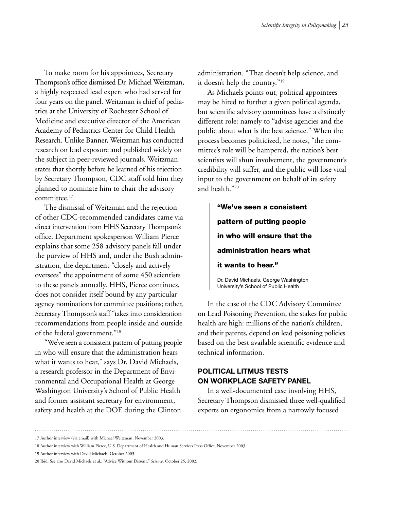To make room for his appointees, Secretary Thompson's office dismissed Dr. Michael Weitzman, a highly respected lead expert who had served for four years on the panel. Weitzman is chief of pediatrics at the University of Rochester School of Medicine and executive director of the American Academy of Pediatrics Center for Child Health Research. Unlike Banner, Weitzman has conducted research on lead exposure and published widely on the subject in peer-reviewed journals. Weitzman states that shortly before he learned of his rejection by Secretary Thompson, CDC staff told him they planned to nominate him to chair the advisory committee.<sup>17</sup>

 The dismissal of Weitzman and the rejection of other CDC-recommended candidates came via direct intervention from HHS Secretary Thompson's office. Department spokesperson William Pierce explains that some 258 advisory panels fall under the purview of HHS and, under the Bush administration, the department "closely and actively oversees" the appointment of some 450 scientists to these panels annually. HHS, Pierce continues, does not consider itself bound by any particular agency nominations for committee positions; rather, Secretary Thompson's staff "takes into consideration recommendations from people inside and outside of the federal government."18

 "We've seen a consistent pattern of putting people in who will ensure that the administration hears what it wants to hear," says Dr. David Michaels, a research professor in the Department of Environmental and Occupational Health at George Washington University's School of Public Health and former assistant secretary for environment, safety and health at the DOE during the Clinton

administration. "That doesn't help science, and it doesn't help the country."19

 As Michaels points out, political appointees may be hired to further a given political agenda, but scientific advisory committees have a distinctly different role: namely to "advise agencies and the public about what is the best science." When the process becomes politicized, he notes, "the committee's role will be hampered, the nation's best scientists will shun involvement, the government's credibility will suffer, and the public will lose vital input to the government on behalf of its safety and health."20

> "We've seen a consistent pattern of putting people in who will ensure that the administration hears what it wants to hear."

Dr. David Michaels, George Washington University's School of Public Health

 In the case of the CDC Advisory Committee on Lead Poisoning Prevention, the stakes for public health are high: millions of the nation's children, and their parents, depend on lead poisoning policies based on the best available scientific evidence and technical information.

#### **POLITICAL LITMUS TESTS ON WORKPLACE SAFETY PANEL**

In a well-documented case involving HHS, Secretary Thompson dismissed three well-qualified experts on ergonomics from a narrowly focused

<sup>17</sup> Author interview (via email) with Michael Weitzman, November 2003.

<sup>18</sup> Author interview with William Pierce, U.S. Department of Health and Human Services Press Office, November 2003.

<sup>19</sup> Author interview with David Michaels, October 2003.

<sup>20</sup> Ibid. See also David Michaels et al., "Advice Without Dissent," *Science*, October 25, 2002*.*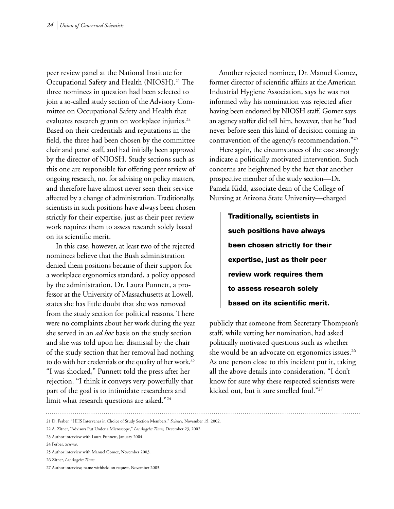peer review panel at the National Institute for Occupational Safety and Health (NIOSH).<sup>21</sup> The three nominees in question had been selected to join a so-called study section of the Advisory Committee on Occupational Safety and Health that evaluates research grants on workplace injuries.<sup>22</sup> Based on their credentials and reputations in the field, the three had been chosen by the committee chair and panel staff, and had initially been approved by the director of NIOSH. Study sections such as this one are responsible for offering peer review of ongoing research, not for advising on policy matters, and therefore have almost never seen their service affected by a change of administration. Traditionally, scientists in such positions have always been chosen strictly for their expertise, just as their peer review work requires them to assess research solely based on its scientific merit.

 In this case, however, at least two of the rejected nominees believe that the Bush administration denied them positions because of their support for a workplace ergonomics standard, a policy opposed by the administration. Dr. Laura Punnett, a professor at the University of Massachusetts at Lowell, states she has little doubt that she was removed from the study section for political reasons. There were no complaints about her work during the year she served in an *ad hoc* basis on the study section and she was told upon her dismissal by the chair of the study section that her removal had nothing to do with her credentials or the quality of her work.<sup>23</sup> "I was shocked," Punnett told the press after her rejection. "I think it conveys very powerfully that part of the goal is to intimidate researchers and limit what research questions are asked."<sup>24</sup>

 Another rejected nominee, Dr. Manuel Gomez, former director of scientific affairs at the American Industrial Hygiene Association, says he was not informed why his nomination was rejected after having been endorsed by NIOSH staff. Gomez says an agency staffer did tell him, however, that he "had never before seen this kind of decision coming in contravention of the agency's recommendation."25

 Here again, the circumstances of the case strongly indicate a politically motivated intervention. Such concerns are heightened by the fact that another prospective member of the study section—Dr. Pamela Kidd, associate dean of the College of Nursing at Arizona State University—charged

> Traditionally, scientists in such positions have always been chosen strictly for their expertise, just as their peer review work requires them to assess research solely based on its scientific merit.

publicly that someone from Secretary Thompson's staff, while vetting her nomination, had asked politically motivated questions such as whether she would be an advocate on ergonomics issues.<sup>26</sup> As one person close to this incident put it, taking all the above details into consideration, "I don't know for sure why these respected scientists were kicked out, but it sure smelled foul."27

<sup>21</sup> D. Ferber, "HHS Intervenes in Choice of Study Section Members," *Science,* November 15, 2002.

<sup>22</sup> A. Zitner, "Advisors Put Under a Microscope," *Los Angeles Times,* December 23, 2002.

<sup>23</sup> Author interview with Laura Punnett, January 2004.

<sup>24</sup> Ferber, *Science*.

<sup>25</sup> Author interview with Manuel Gomez, November 2003.

<sup>26</sup> Zitner, *Los Angeles Times*.

<sup>27</sup> Author interview, name withheld on request, November 2003.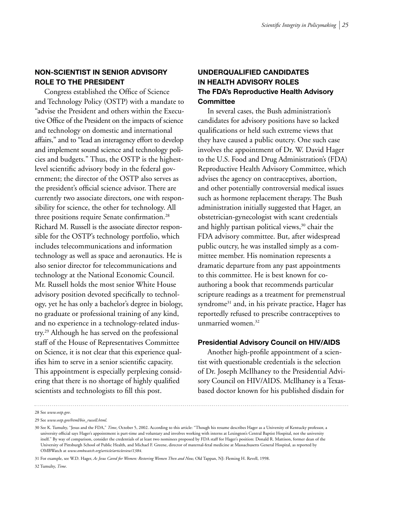## **NON-SCIENTIST IN SENIOR ADVISORY ROLE TO THE PRESIDENT**

Congress established the Office of Science and Technology Policy (OSTP) with a mandate to "advise the President and others within the Executive Office of the President on the impacts of science and technology on domestic and international affairs," and to "lead an interagency effort to develop and implement sound science and technology policies and budgets." Thus, the OSTP is the highestlevel scientific advisory body in the federal government; the director of the OSTP also serves as the president's official science advisor. There are currently two associate directors, one with responsibility for science, the other for technology. All three positions require Senate confirmation.<sup>28</sup> Richard M. Russell is the associate director responsible for the OSTP's technology portfolio, which includes telecommunications and information technology as well as space and aeronautics. He is also senior director for telecommunications and technology at the National Economic Council. Mr. Russell holds the most senior White House advisory position devoted specifically to technology, yet he has only a bachelor's degree in biology, no graduate or professional training of any kind, and no experience in a technology-related industry.29 Although he has served on the professional staff of the House of Representatives Committee on Science, it is not clear that this experience qualifies him to serve in a senior scientific capacity. This appointment is especially perplexing considering that there is no shortage of highly qualified scientists and technologists to fill this post.

## **UNDERQUALIFIED CANDIDATES IN HEALTH ADVISORY ROLES The FDA's Reproductive Health Advisory Committee**

In several cases, the Bush administration's candidates for advisory positions have so lacked qualifications or held such extreme views that they have caused a public outcry. One such case involves the appointment of Dr. W. David Hager to the U.S. Food and Drug Administration's (FDA) Reproductive Health Advisory Committee, which advises the agency on contraceptives, abortion, and other potentially controversial medical issues such as hormone replacement therapy. The Bush administration initially suggested that Hager, an obstetrician-gynecologist with scant credentials and highly partisan political views,<sup>30</sup> chair the FDA advisory committee. But, after widespread public outcry, he was installed simply as a committee member. His nomination represents a dramatic departure from any past appointments to this committee. He is best known for coauthoring a book that recommends particular scripture readings as a treatment for premenstrual syndrome<sup>31</sup> and, in his private practice, Hager has reportedly refused to prescribe contraceptives to unmarried women. $32$ 

#### **Presidential Advisory Council on HIV/AIDS**

Another high-profile appointment of a scientist with questionable credentials is the selection of Dr. Joseph McIlhaney to the Presidential Advisory Council on HIV/AIDS. McIlhaney is a Texasbased doctor known for his published disdain for

32 Tumulty, *Time*.

<sup>28</sup> See *www.ostp.gov*.

<sup>29</sup> See *www.ostp.gov/html/bio\_russell.html*.

<sup>30</sup> See K. Tumulty, "Jesus and the FDA," *Time*, October 5, 2002. According to this article: "Though his resume describes Hager as a University of Kentucky professor, a university official says Hager's appointment is part-time and voluntary and involves working with interns at Lexington's Central Baptist Hospital, not the university itself." By way of comparison, consider the credentials of at least two nominees proposed by FDA staff for Hager's position: Donald R. Mattison, former dean of the University of Pittsburgh School of Public Health, and Michael F. Greene, director of maternal-fetal medicine at Massachusetts General Hospital, as reported by OMBWatch at *www.ombwatch.org/article/articleview/1384*.

<sup>31</sup> For example, see W.D. Hager, *As Jesus Cared for Women: Restoring Women Then and Now,* Old Tappan, NJ: Fleming H. Revell, 1998.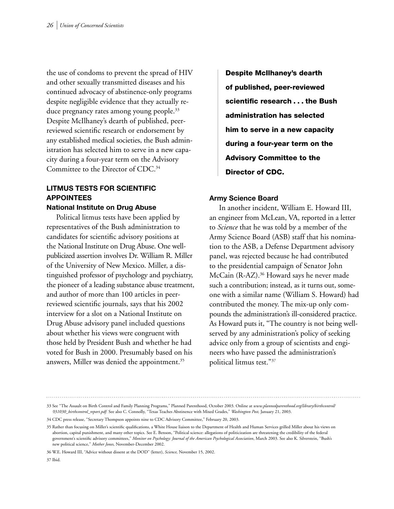the use of condoms to prevent the spread of HIV and other sexually transmitted diseases and his continued advocacy of abstinence-only programs despite negligible evidence that they actually reduce pregnancy rates among young people.<sup>33</sup> Despite McIlhaney's dearth of published, peerreviewed scientific research or endorsement by any established medical societies, the Bush administration has selected him to serve in a new capacity during a four-year term on the Advisory Committee to the Director of CDC.<sup>34</sup>

## **LITMUS TESTS FOR SCIENTIFIC APPOINTEES**

#### **National Institute on Drug Abuse**

 Political litmus tests have been applied by representatives of the Bush administration to candidates for scientific advisory positions at the National Institute on Drug Abuse. One wellpublicized assertion involves Dr. William R. Miller of the University of New Mexico. Miller, a distinguished professor of psychology and psychiatry, the pioneer of a leading substance abuse treatment, and author of more than 100 articles in peerreviewed scientific journals, says that his 2002 interview for a slot on a National Institute on Drug Abuse advisory panel included questions about whether his views were congruent with those held by President Bush and whether he had voted for Bush in 2000. Presumably based on his answers, Miller was denied the appointment.<sup>35</sup>

Despite McIlhaney's dearth of published, peer-reviewed scientific research . . . the Bush administration has selected him to serve in a new capacity during a four-year term on the Advisory Committee to the Director of CDC.

#### **Army Science Board**

In another incident, William E. Howard III, an engineer from McLean, VA, reported in a letter to *Science* that he was told by a member of the Army Science Board (ASB) staff that his nomination to the ASB, a Defense Department advisory panel, was rejected because he had contributed to the presidential campaign of Senator John McCain (R-AZ).<sup>36</sup> Howard says he never made such a contribution; instead, as it turns out, someone with a similar name (William S. Howard) had contributed the money. The mix-up only compounds the administration's ill-considered practice. As Howard puts it, "The country is not being wellserved by any administration's policy of seeking advice only from a group of scientists and engineers who have passed the administration's political litmus test."37

<sup>33</sup> See "The Assault on Birth Control and Family Planning Programs," Planned Parenthood, October 2003. Online at *www.plannedparenthood.org/library/birthcontrol/ 031030\_birthcontrol\_report.pdf*. See also C. Connolly, "Texas Teaches Abstinence with Mixed Grades," *Washington Post,* January 21, 2003.

<sup>34</sup> CDC press release, "Secretary Thompson appoints nine to CDC Advisory Committee," February 20, 2003.

<sup>35</sup> Rather than focusing on Miller's scientific qualifications, a White House liaison to the Department of Health and Human Services grilled Miller about his views on abortion, capital punishment, and many other topics. See E. Benson, "Political science: allegations of politicization are threatening the credibility of the federal government's scientific advisory committees," Monitor on Psychology: Journal of the American Psychological Association, March 2003. See also K. Silverstein, "Bush's new political science," *Mother Jones,* November-December 2002.

<sup>36</sup> W.E. Howard III, "Advice without dissent at the DOD" (letter), *Science,* November 15, 2002.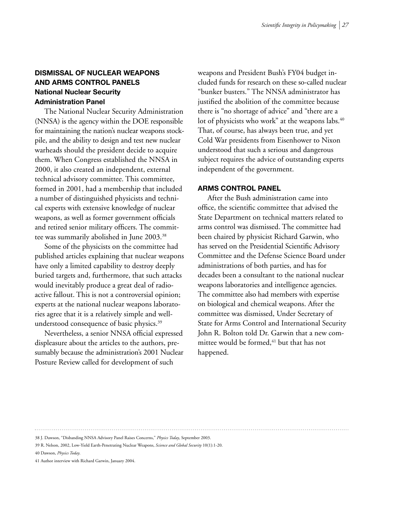## **DISMISSAL OF NUCLEAR WEAPONS AND ARMS CONTROL PANELS National Nuclear Security Administration Panel**

The National Nuclear Security Administration (NNSA) is the agency within the DOE responsible for maintaining the nation's nuclear weapons stockpile, and the ability to design and test new nuclear warheads should the president decide to acquire them. When Congress established the NNSA in 2000, it also created an independent, external technical advisory committee. This committee, formed in 2001, had a membership that included a number of distinguished physicists and technical experts with extensive knowledge of nuclear weapons, as well as former government officials and retired senior military officers. The committee was summarily abolished in June 2003.38

 Some of the physicists on the committee had published articles explaining that nuclear weapons have only a limited capability to destroy deeply buried targets and, furthermore, that such attacks would inevitably produce a great deal of radioactive fallout. This is not a controversial opinion; experts at the national nuclear weapons laboratories agree that it is a relatively simple and wellunderstood consequence of basic physics.<sup>39</sup>

Nevertheless, a senior NNSA official expressed displeasure about the articles to the authors, presumably because the administration's 2001 Nuclear Posture Review called for development of such

weapons and President Bush's FY04 budget included funds for research on these so-called nuclear "bunker busters." The NNSA administrator has justified the abolition of the committee because there is "no shortage of advice" and "there are a lot of physicists who work" at the weapons labs.<sup>40</sup> That, of course, has always been true, and yet Cold War presidents from Eisenhower to Nixon understood that such a serious and dangerous subject requires the advice of outstanding experts independent of the government.

#### **ARMS CONTROL PANEL**

After the Bush administration came into office, the scientific committee that advised the State Department on technical matters related to arms control was dismissed. The committee had been chaired by physicist Richard Garwin, who has served on the Presidential Scientific Advisory Committee and the Defense Science Board under administrations of both parties, and has for decades been a consultant to the national nuclear weapons laboratories and intelligence agencies. The committee also had members with expertise on biological and chemical weapons. After the committee was dismissed, Under Secretary of State for Arms Control and International Security John R. Bolton told Dr. Garwin that a new committee would be formed,<sup>41</sup> but that has not happened.

41 Author interview with Richard Garwin, January 2004.

<sup>38</sup> J. Dawson, "Disbanding NNSA Advisory Panel Raises Concerns," *Physics Today*, September 2003.

<sup>39</sup> R. Nelson, 2002, Low-Yield Earth-Penetrating Nuclear Weapons, *Science and Global Security* 10(1):1-20.

<sup>40</sup> Dawson, *Physics Today*.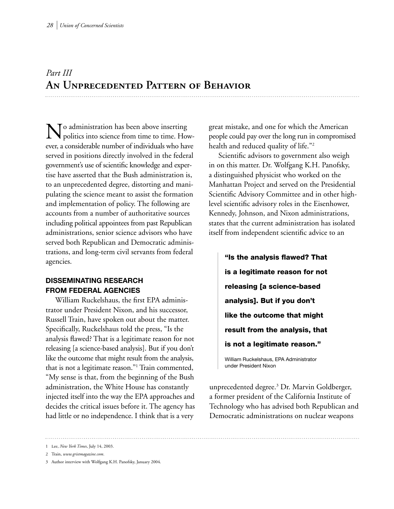# **An Unprecedented Pattern of Behavior** *Part III*

No administration has been above inserting politics into science from time to time. However, a considerable number of individuals who have served in positions directly involved in the federal government's use of scientific knowledge and expertise have asserted that the Bush administration is, to an unprecedented degree, distorting and manipulating the science meant to assist the formation and implementation of policy. The following are accounts from a number of authoritative sources including political appointees from past Republican administrations, senior science advisors who have served both Republican and Democratic administrations, and long-term civil servants from federal agencies.

#### **DISSEMINATING RESEARCH FROM FEDERAL AGENCIES**

William Ruckelshaus, the first EPA administrator under President Nixon, and his successor, Russell Train, have spoken out about the matter. Specifi cally, Ruckelshaus told the press, "Is the analysis flawed? That is a legitimate reason for not releasing [a science-based analysis]. But if you don't like the outcome that might result from the analysis, that is not a legitimate reason."1 Train commented, "My sense is that, from the beginning of the Bush administration, the White House has constantly injected itself into the way the EPA approaches and decides the critical issues before it. The agency has had little or no independence. I think that is a very

great mistake, and one for which the American people could pay over the long run in compromised health and reduced quality of life."2

Scientific advisors to government also weigh in on this matter. Dr. Wolfgang K.H. Panofsky, a distinguished physicist who worked on the Manhattan Project and served on the Presidential Scientific Advisory Committee and in other highlevel scientific advisory roles in the Eisenhower, Kennedy, Johnson, and Nixon administrations, states that the current administration has isolated itself from independent scientific advice to an

> "Is the analysis flawed? That is a legitimate reason for not releasing [a science-based analysis]. But if you don't like the outcome that might result from the analysis, that is not a legitimate reason."

unprecedented degree.3 Dr. Marvin Goldberger, a former president of the California Institute of Technology who has advised both Republican and Democratic administrations on nuclear weapons

William Ruckelshaus, EPA Administrator under President Nixon

<sup>1</sup> Lee, *New York Times*, July 14, 2003.

<sup>2</sup> Train, *www.gristmagazine.com*.

<sup>3</sup> Author interview with Wolfgang K.H. Panofsky, January 2004.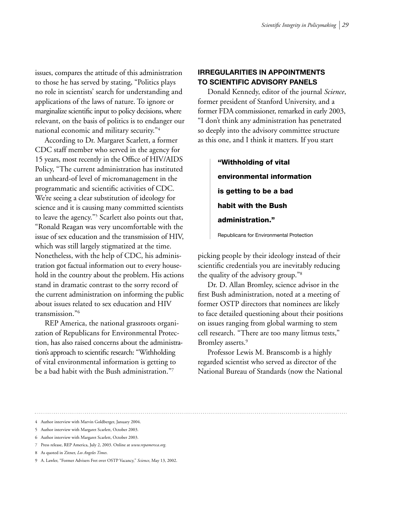issues, compares the attitude of this administration to those he has served by stating, "Politics plays no role in scientists' search for understanding and applications of the laws of nature. To ignore or marginalize scientific input to policy decisions, where relevant, on the basis of politics is to endanger our national economic and military security."4

 According to Dr. Margaret Scarlett, a former CDC staff member who served in the agency for 15 years, most recently in the Office of HIV/AIDS Policy, "The current administration has instituted an unheard-of level of micromanagement in the programmatic and scientific activities of CDC. We're seeing a clear substitution of ideology for science and it is causing many committed scientists to leave the agency."5 Scarlett also points out that, "Ronald Reagan was very uncomfortable with the issue of sex education and the transmission of HIV, which was still largely stigmatized at the time. Nonetheless, with the help of CDC, his administration got factual information out to every household in the country about the problem. His actions stand in dramatic contrast to the sorry record of the current administration on informing the public about issues related to sex education and HIV transmission."6

 REP America, the national grassroots organization of Republicans for Environmental Protection, has also raised concerns about the administration's approach to scientific research: "Withholding of vital environmental information is getting to be a bad habit with the Bush administration."7

## **IRREGULARITIES IN APPOINTMENTS TO SCIENTIFIC ADVISORY PANELS**

 Donald Kennedy, editor of the journal *Science*, former president of Stanford University, and a former FDA commissioner, remarked in early 2003, "I don't think any administration has penetrated so deeply into the advisory committee structure as this one, and I think it matters. If you start

> "Withholding of vital environmental information is getting to be a bad habit with the Bush administration."

Republicans for Environmental Protection

picking people by their ideology instead of their scientific credentials you are inevitably reducing the quality of the advisory group."8

 Dr. D. Allan Bromley, science advisor in the first Bush administration, noted at a meeting of former OSTP directors that nominees are likely to face detailed questioning about their positions on issues ranging from global warming to stem cell research. "There are too many litmus tests," Bromley asserts.<sup>9</sup>

 Professor Lewis M. Branscomb is a highly regarded scientist who served as director of the National Bureau of Standards (now the National

<sup>4</sup> Author interview with Marvin Goldberger, January 2004.

<sup>5</sup> Author interview with Margaret Scarlett, October 2003.

<sup>6</sup> Author interview with Margaret Scarlett, October 2003.

<sup>7</sup> Press release, REP America, July 2, 2003. Online at *www.repamerica.org*.

<sup>8</sup> As quoted in Zitner, *Los Angeles Times*.

<sup>9</sup> A. Lawler, "Former Advisers Fret over OSTP Vacancy," *Science*, May 13, 2002.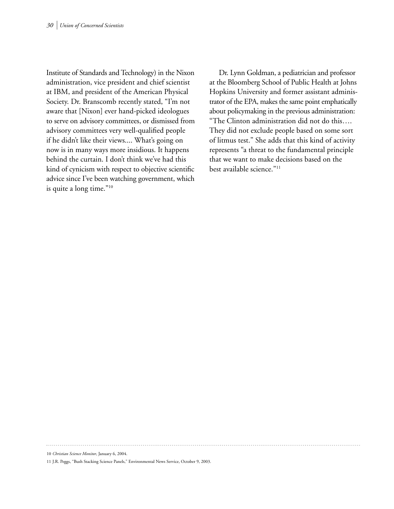Institute of Standards and Technology) in the Nixon administration, vice president and chief scientist at IBM, and president of the American Physical Society. Dr. Branscomb recently stated, "I'm not aware that [Nixon] ever hand-picked ideologues to serve on advisory committees, or dismissed from advisory committees very well-qualified people if he didn't like their views.... What's going on now is in many ways more insidious. It happens behind the curtain. I don't think we've had this kind of cynicism with respect to objective scientific advice since I've been watching government, which is quite a long time."10

 Dr. Lynn Goldman, a pediatrician and professor at the Bloomberg School of Public Health at Johns Hopkins University and former assistant administrator of the EPA, makes the same point emphatically about policymaking in the previous administration: "The Clinton administration did not do this…. They did not exclude people based on some sort of litmus test." She adds that this kind of activity represents "a threat to the fundamental principle that we want to make decisions based on the best available science."11

10 *Christian Science Monitor*, January 6, 2004.

11 J.R. Peggs, "Bush Stacking Science Panels," Environmental News Service, October 9, 2003.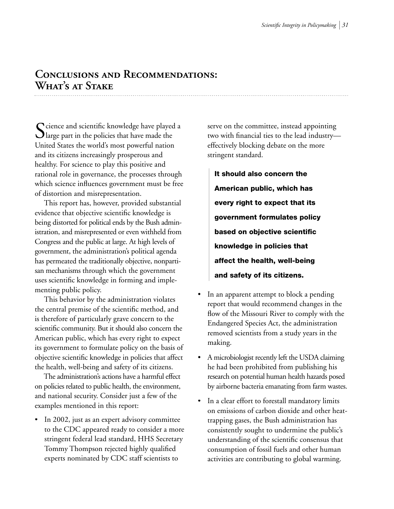# **Conclusions and Recommendations: What's at Stake**

 $\bigcap$  cience and scientific knowledge have played a  $\bigcup$  large part in the policies that have made the United States the world's most powerful nation and its citizens increasingly prosperous and healthy. For science to play this positive and rational role in governance, the processes through which science influences government must be free of distortion and misrepresentation.

 This report has, however, provided substantial evidence that objective scientific knowledge is being distorted for political ends by the Bush administration, and misrepresented or even withheld from Congress and the public at large. At high levels of government, the administration's political agenda has permeated the traditionally objective, nonpartisan mechanisms through which the government uses scientific knowledge in forming and implementing public policy.

 This behavior by the administration violates the central premise of the scientific method, and is therefore of particularly grave concern to the scientific community. But it should also concern the American public, which has every right to expect its government to formulate policy on the basis of objective scientific knowledge in policies that affect the health, well-being and safety of its citizens.

 The administration's actions have a harmful effect on policies related to public health, the environment, and national security. Consider just a few of the examples mentioned in this report:

• In 2002, just as an expert advisory committee to the CDC appeared ready to consider a more stringent federal lead standard, HHS Secretary Tommy Thompson rejected highly qualified experts nominated by CDC staff scientists to

serve on the committee, instead appointing two with financial ties to the lead industryeffectively blocking debate on the more stringent standard.

It should also concern the American public, which has every right to expect that its government formulates policy based on objective scientific knowledge in policies that affect the health, well-being and safety of its citizens.

- In an apparent attempt to block a pending report that would recommend changes in the flow of the Missouri River to comply with the Endangered Species Act, the administration removed scientists from a study years in the making.
- A microbiologist recently left the USDA claiming he had been prohibited from publishing his research on potential human health hazards posed by airborne bacteria emanating from farm wastes.
- In a clear effort to forestall mandatory limits on emissions of carbon dioxide and other heattrapping gases, the Bush administration has consistently sought to undermine the public's understanding of the scientific consensus that consumption of fossil fuels and other human activities are contributing to global warming.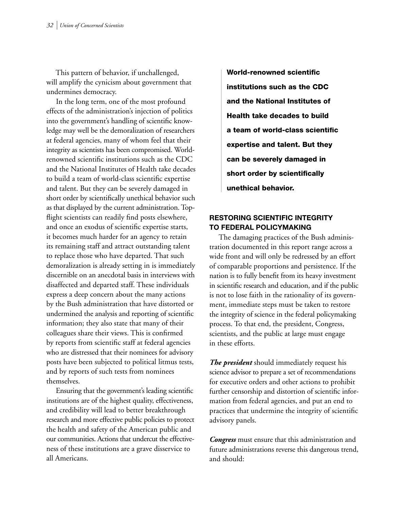This pattern of behavior, if unchallenged, will amplify the cynicism about government that undermines democracy.

 In the long term, one of the most profound effects of the administration's injection of politics into the government's handling of scientific knowledge may well be the demoralization of researchers at federal agencies, many of whom feel that their integrity as scientists has been compromised. Worldrenowned scientific institutions such as the CDC and the National Institutes of Health take decades to build a team of world-class scientific expertise and talent. But they can be severely damaged in short order by scientifically unethical behavior such as that displayed by the current administration. Topflight scientists can readily find posts elsewhere, and once an exodus of scientific expertise starts, it becomes much harder for an agency to retain its remaining staff and attract outstanding talent to replace those who have departed. That such demoralization is already setting in is immediately discernible on an anecdotal basis in interviews with disaffected and departed staff. These individuals express a deep concern about the many actions by the Bush administration that have distorted or undermined the analysis and reporting of scientific information; they also state that many of their colleagues share their views. This is confirmed by reports from scientific staff at federal agencies who are distressed that their nominees for advisory posts have been subjected to political litmus tests, and by reports of such tests from nominees themselves.

Ensuring that the government's leading scientific institutions are of the highest quality, effectiveness, and credibility will lead to better breakthrough research and more effective public policies to protect the health and safety of the American public and our communities. Actions that undercut the effectiveness of these institutions are a grave disservice to all Americans.

**World-renowned scientific** institutions such as the CDC and the National Institutes of Health take decades to build a team of world-class scientific expertise and talent. But they can be severely damaged in short order by scientifically unethical behavior.

## **RESTORING SCIENTIFIC INTEGRITY TO FEDERAL POLICYMAKING**

 The damaging practices of the Bush administration documented in this report range across a wide front and will only be redressed by an effort of comparable proportions and persistence. If the nation is to fully benefit from its heavy investment in scientific research and education, and if the public is not to lose faith in the rationality of its government, immediate steps must be taken to restore the integrity of science in the federal policymaking process. To that end, the president, Congress, scientists, and the public at large must engage in these efforts.

*The president* should immediately request his science advisor to prepare a set of recommendations for executive orders and other actions to prohibit further censorship and distortion of scientific information from federal agencies, and put an end to practices that undermine the integrity of scientific advisory panels.

**Congress** must ensure that this administration and future administrations reverse this dangerous trend, and should: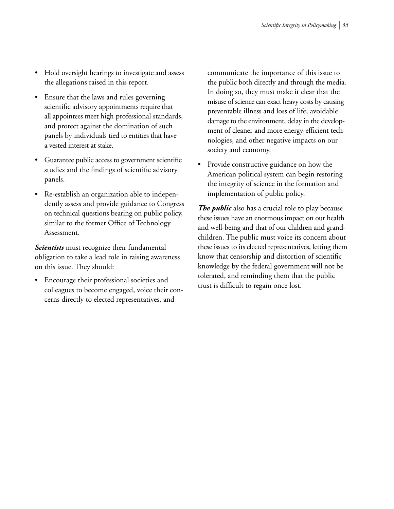- Hold oversight hearings to investigate and assess the allegations raised in this report.
- Ensure that the laws and rules governing scientific advisory appointments require that all appointees meet high professional standards, and protect against the domination of such panels by individuals tied to entities that have a vested interest at stake.
- Guarantee public access to government scientific studies and the findings of scientific advisory panels.
- Re-establish an organization able to independently assess and provide guidance to Congress on technical questions bearing on public policy, similar to the former Office of Technology Assessment.

*Scientists* must recognize their fundamental obligation to take a lead role in raising awareness on this issue. They should:

• Encourage their professional societies and colleagues to become engaged, voice their concerns directly to elected representatives, and

communicate the importance of this issue to the public both directly and through the media. In doing so, they must make it clear that the misuse of science can exact heavy costs by causing preventable illness and loss of life, avoidable damage to the environment, delay in the development of cleaner and more energy-efficient technologies, and other negative impacts on our society and economy.

• Provide constructive guidance on how the American political system can begin restoring the integrity of science in the formation and implementation of public policy.

*The public* also has a crucial role to play because these issues have an enormous impact on our health and well-being and that of our children and grandchildren. The public must voice its concern about these issues to its elected representatives, letting them know that censorship and distortion of scientific knowledge by the federal government will not be tolerated, and reminding them that the public trust is difficult to regain once lost.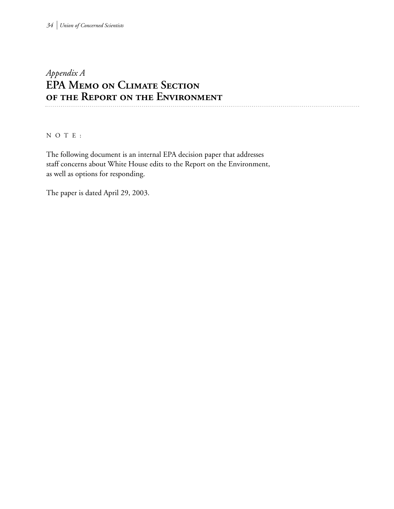# **EPA Memo on Climate Section of the Report on the Environment** *Appendix A*

N O T E :

The following document is an internal EPA decision paper that addresses staff concerns about White House edits to the Report on the Environment, as well as options for responding.

The paper is dated April 29, 2003.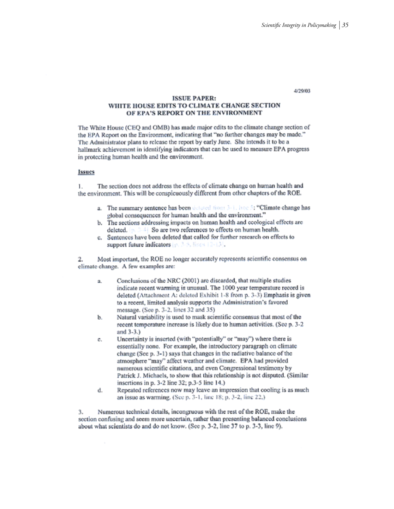4/29/03

#### **ISSUE PAPER:** WHITE HOUSE EDITS TO CLIMATE CHANGE SECTION OF EPA'S REPORT ON THE ENVIRONMENT

The White House (CEO and OMB) has made major edits to the climate change section of the EPA Report on the Environment, indicating that "no further changes may be made." The Administrator plans to release the report by early June. She intends it to be a hallmark achievement in identifying indicators that can be used to measure EPA progress in protecting human health and the environment.

#### Issues

The section does not address the effects of climate change on human health and 1. the environment. This will be conspicuously different from other chapters of the ROE.

- a. The summary sentence has been detered from 3-1, line 5: "Climate change has global consequences for human health and the environment."
- b. The sections addressing impacts on human health and ecological effects are deleted. [b, 3-4] So are two references to effects on human health.
- c. Sentences have been deleted that called for further research on effects to support future indicators [p. 3-8, lines (2-13).

Most important, the ROE no longer accurately represents scientific consensus on 2. climate change. A few examples are:

- Conclusions of the NRC (2001) are discarded, that multiple studies  $\mathbf{a}$ indicate recent warming is unusual. The 1000 year temperature record is deleted (Attachment A: deleted Exhibit 1-8 from p. 3-3) Emphasis is given to a recent, limited analysis supports the Administration's favored message. (See p. 3-2, lines 32 and 35)
- Natural variability is used to mask scientific consensus that most of the b. recent temperature increase is likely due to human activities. (See p. 3-2) and 3-3.)
- Uncertainty is inserted (with "potentially" or "may") where there is c. essentially none. For example, the introductory paragraph on climate change (See p. 3-1) says that changes in the radiative balance of the atmosphere "may" affect weather and climate. EPA had provided numerous scientific citations, and even Congressional testimony by Patrick J. Michaels, to show that this relationship is not disputed. (Similar insertions in p. 3-2 line 32; p.3-5 line 14.)
- d. Repeated references now may leave an impression that cooling is as much an issue as warming. (See p. 3-1, line 18; p. 3-2, line 22,)

Numerous technical details, incongruous with the rest of the ROE, make the 3. section confusing and seem more uncertain, rather than presenting balanced conclusions about what scientists do and do not know. (See p. 3-2, line 37 to p. 3-3, line 9).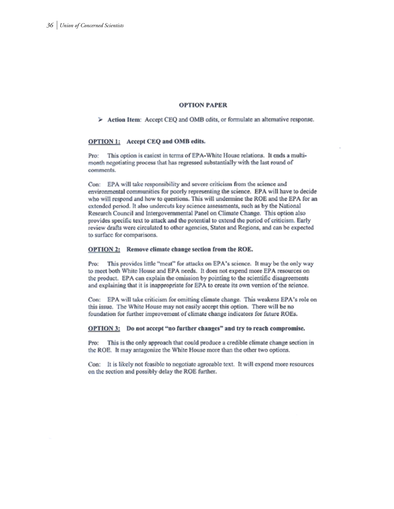#### **OPTION PAPER**

> Action Item: Accept CEQ and OMB edits, or formulate an alternative response.

#### OPTION 1: Accept CEQ and OMB edits.

This option is easiest in terms of EPA-White House relations. It ends a multi-Pro: month negotiating process that has regressed substantially with the last round of comments.

Con: EPA will take responsibility and severe criticism from the science and environmental communities for poorly representing the science. EPA will have to decide who will respond and how to questions. This will undermine the ROE and the EPA for an extended period. It also undercuts key science assessments, such as by the National Research Council and Intergovernmental Panel on Climate Change. This option also provides specific text to attack and the potential to extend the period of criticism. Early review drafts were circulated to other agencies, States and Regions, and can be expected to surface for comparisons.

#### OPTION 2: Remove climate change section from the ROE.

This provides little "meat" for attacks on EPA's science. It may be the only way Pro: to meet both White House and EPA needs. It does not expend more EPA resources on the product. EPA can explain the omission by pointing to the scientific disagreements and explaining that it is inappropriate for EPA to create its own version of the science.

Con: EPA will take criticism for omitting climate change. This weakens EPA's role on this issue. The White House may not easily accept this option. There will be no foundation for further improvement of climate change indicators for future ROEs.

#### OPTION 3: Do not accept "no further changes" and try to reach compromise.

This is the only approach that could produce a credible climate change section in Pro: the ROE. It may antagonize the White House more than the other two options.

Con: It is likely not feasible to negotiate agreeable text. It will expend more resources on the section and possibly delay the ROE further.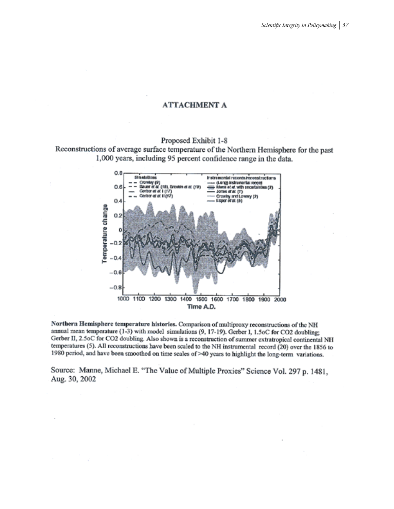#### **ATTACHMENT A**

#### Proposed Exhibit 1-8

Reconstructions of average surface temperature of the Northern Hemisphere for the past 1,000 years, including 95 percent confidence range in the data.



Northern Hemisphere temperature histories. Comparison of multiproxy reconstructions of the NH annual mean temperature (1-3) with model simulations (9, 17-19). Gerber I, 1.5oC for CO2 doubling; Gerber II, 2.5oC for CO2 doubling. Also shown is a reconstruction of summer extratropical continental NH temperatures (5). All reconstructions have been scaled to the NH instrumental record (20) over the 1856 to 1980 period, and have been smoothed on time scales of >40 years to highlight the long-term variations.

Source: Manne, Michael E. "The Value of Multiple Proxies" Science Vol. 297 p. 1481, Aug. 30, 2002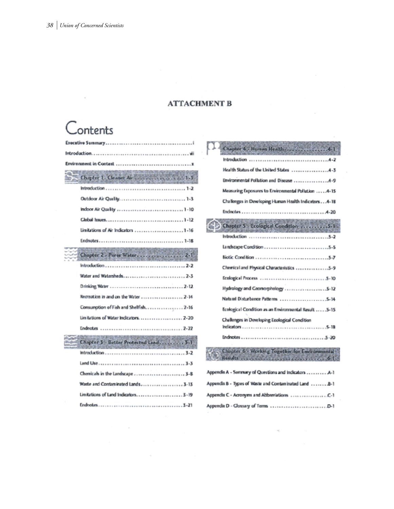## **ATTACHMENT B**

**GERMAN HEAT ARE ARRESTED MOVED.** 

# $\bigcirc$ ontents

| Chapter 1 - Cleaner Air                |
|----------------------------------------|
|                                        |
|                                        |
|                                        |
|                                        |
| Limitations of Air Indicators 1-16     |
|                                        |
| Chapter 2 - Purer Water,               |
|                                        |
|                                        |
|                                        |
| Recreation in and on the Water  2-14   |
| Consumption of Fish and Shellfish 2-16 |
|                                        |
|                                        |
| Chapter 3 - Better Protected Land.     |
|                                        |
|                                        |
| Chemicals in the Landscape  3-8        |

Waste and Contaminated Lands...................... 3-13

 $\sim$ 

| Chapter 4 - Huraan Health                                 |
|-----------------------------------------------------------|
| Introduction accessors assesses assesses assesses and 4-2 |
|                                                           |
|                                                           |
| Measuring Exposures to Environmental Pollution  A-15      |
| Challenges in Dewloping Human Health Indicators4-18       |
|                                                           |
| Chapter 5 - Ecological Condition                          |
|                                                           |
|                                                           |
| Chemical and Physical Characteristics 5-9                 |
|                                                           |
|                                                           |
|                                                           |
| Ecological Condition as an Environmental Result  5-15     |
| Challenges in Developing Ecological Condition             |
|                                                           |
| Chapter 6 - Working Together for Emironmental-            |
| Appendix A - Summary of Questions and Indicators  A-1     |

| Appendix B - Types of Waste and Contaminated Land  B-1 |
|--------------------------------------------------------|
|                                                        |
|                                                        |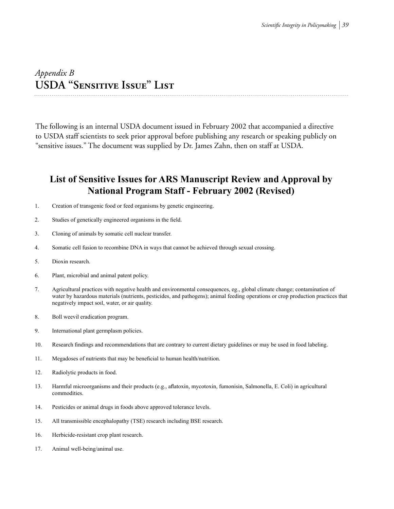# **USDA "Sensitive Issue" List** *Appendix B*

The following is an internal USDA document issued in February 2002 that accompanied a directive to USDA staff scientists to seek prior approval before publishing any research or speaking publicly on "sensitive issues." The document was supplied by Dr. James Zahn, then on staff at USDA.

# **List of Sensitive Issues for ARS Manuscript Review and Approval by National Program Staff - February 2002 (Revised)**

- 1. Creation of transgenic food or feed organisms by genetic engineering.
- 2. Studies of genetically engineered organisms in the field.
- 3. Cloning of animals by somatic cell nuclear transfer.
- 4. Somatic cell fusion to recombine DNA in ways that cannot be achieved through sexual crossing.
- 5. Dioxin research.
- 6. Plant, microbial and animal patent policy.
- 7. Agricultural practices with negative health and environmental consequences, eg., global climate change; contamination of water by hazardous materials (nutrients, pesticides, and pathogens); animal feeding operations or crop production practices that negatively impact soil, water, or air quality.
- 8. Boll weevil eradication program.
- 9. International plant germplasm policies.
- 10. Research findings and recommendations that are contrary to current dietary guidelines or may be used in food labeling.
- 11. Megadoses of nutrients that may be beneficial to human health/nutrition.
- 12. Radiolytic products in food.
- 13. Harmful microorganisms and their products (e.g., afl atoxin, mycotoxin, fumonisin, Salmonella, E. Coli) in agricultural commodities.
- 14. Pesticides or animal drugs in foods above approved tolerance levels.
- 15. All transmissible encephalopathy (TSE) research including BSE research.
- 16. Herbicide-resistant crop plant research.
- 17. Animal well-being/animal use.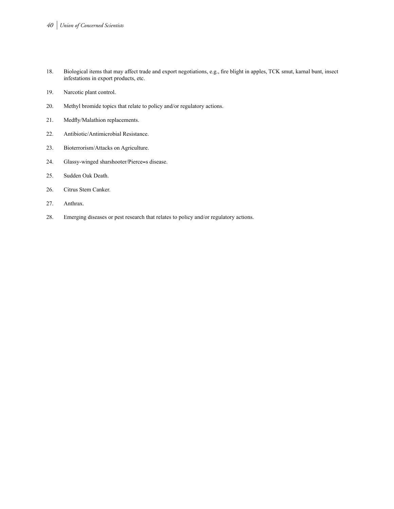- 18. Biological items that may affect trade and export negotiations, e.g., fire blight in apples, TCK smut, karnal bunt, insect infestations in export products, etc.
- 19. Narcotic plant control.
- 20. Methyl bromide topics that relate to policy and/or regulatory actions.
- 21. Medfly/Malathion replacements.
- 22. Antibiotic/Antimicrobial Resistance.
- 23. Bioterrorism/Attacks on Agriculture.
- 24. Glassy-winged sharshooter/Pierce=s disease.
- 25. Sudden Oak Death.
- 26. Citrus Stem Canker.
- 27. Anthrax.
- 28. Emerging diseases or pest research that relates to policy and/or regulatory actions.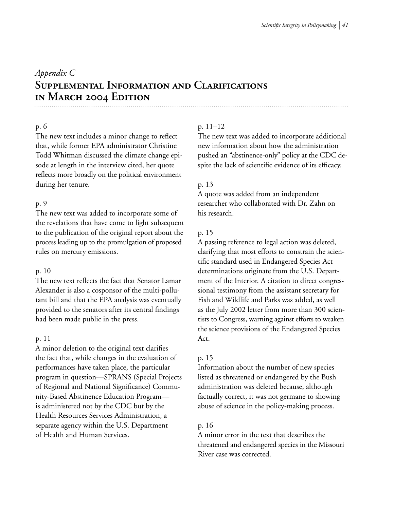## *Appendix C*

# **Supplemental Information and Clarifications in March 2004 Edition**

#### p. 6

The new text includes a minor change to reflect that, while former EPA administrator Christine Todd Whitman discussed the climate change episode at length in the interview cited, her quote reflects more broadly on the political environment during her tenure.

#### p. 9

The new text was added to incorporate some of the revelations that have come to light subsequent to the publication of the original report about the process leading up to the promulgation of proposed rules on mercury emissions.

#### p. 10

The new text reflects the fact that Senator Lamar Alexander is also a cosponsor of the multi-pollutant bill and that the EPA analysis was eventually provided to the senators after its central findings had been made public in the press.

#### p. 11

A minor deletion to the original text clarifies the fact that, while changes in the evaluation of performances have taken place, the particular program in question—SPRANS (Special Projects of Regional and National Significance) Community-Based Abstinence Education Program is administered not by the CDC but by the Health Resources Services Administration, a separate agency within the U.S. Department of Health and Human Services.

#### p. 11–12

The new text was added to incorporate additional new information about how the administration pushed an "abstinence-only" policy at the CDC despite the lack of scientific evidence of its efficacy.

## p. 13

A quote was added from an independent researcher who collaborated with Dr. Zahn on his research.

## p. 15

A passing reference to legal action was deleted, clarifying that most efforts to constrain the scientific standard used in Endangered Species Act determinations originate from the U.S. Department of the Interior. A citation to direct congressional testimony from the assistant secretary for Fish and Wildlife and Parks was added, as well as the July 2002 letter from more than 300 scientists to Congress, warning against efforts to weaken the science provisions of the Endangered Species Act.

#### p. 15

Information about the number of new species listed as threatened or endangered by the Bush administration was deleted because, although factually correct, it was not germane to showing abuse of science in the policy-making process.

#### p. 16

A minor error in the text that describes the threatened and endangered species in the Missouri River case was corrected.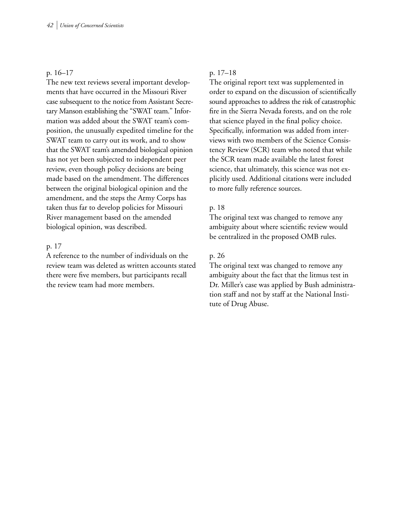#### p. 16–17

The new text reviews several important developments that have occurred in the Missouri River case subsequent to the notice from Assistant Secretary Manson establishing the "SWAT team." Information was added about the SWAT team's composition, the unusually expedited timeline for the SWAT team to carry out its work, and to show that the SWAT team's amended biological opinion has not yet been subjected to independent peer review, even though policy decisions are being made based on the amendment. The differences between the original biological opinion and the amendment, and the steps the Army Corps has taken thus far to develop policies for Missouri River management based on the amended biological opinion, was described.

#### p. 17

A reference to the number of individuals on the review team was deleted as written accounts stated there were five members, but participants recall the review team had more members.

#### p. 17–18

The original report text was supplemented in order to expand on the discussion of scientifically sound approaches to address the risk of catastrophic fire in the Sierra Nevada forests, and on the role that science played in the final policy choice. Specifically, information was added from interviews with two members of the Science Consistency Review (SCR) team who noted that while the SCR team made available the latest forest science, that ultimately, this science was not explicitly used. Additional citations were included to more fully reference sources.

#### p. 18

The original text was changed to remove any ambiguity about where scientific review would be centralized in the proposed OMB rules.

#### p. 26

The original text was changed to remove any ambiguity about the fact that the litmus test in Dr. Miller's case was applied by Bush administration staff and not by staff at the National Institute of Drug Abuse.